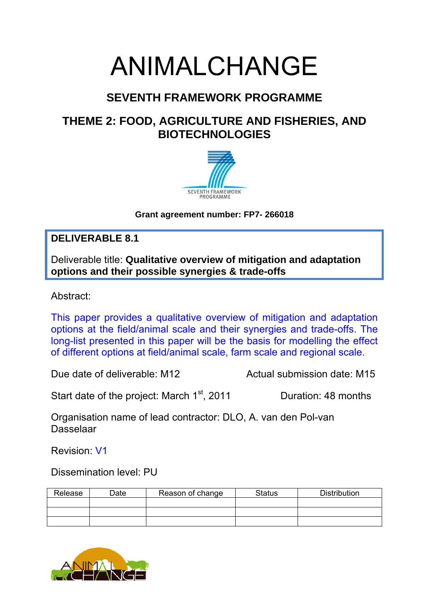# ANIMALCHANGE

# **SEVENTH FRAMEWORK PROGRAMME**

# **THEME 2: FOOD, AGRICULTURE AND FISHERIES, AND BIOTECHNOLOGIES**



**Grant agreement number: FP7- 266018** 

## **DELIVERABLE 8.1**

Deliverable title: **Qualitative overview of mitigation and adaptation options and their possible synergies & trade-offs**

Abstract:

This paper provides a qualitative overview of mitigation and adaptation options at the field/animal scale and their synergies and trade-offs. The long-list presented in this paper will be the basis for modelling the effect of different options at field/animal scale, farm scale and regional scale.

Due date of deliverable: M12 Actual submission date: M15

Start date of the project: March 1<sup>st</sup>, 2011 Duration: 48 months

Organisation name of lead contractor: DLO, A. van den Pol-van Dasselaar

Revision: V1

Dissemination level: PU

| Release | Date | Reason of change | <b>Status</b> | <b>Distribution</b> |
|---------|------|------------------|---------------|---------------------|
|         |      |                  |               |                     |
|         |      |                  |               |                     |
|         |      |                  |               |                     |

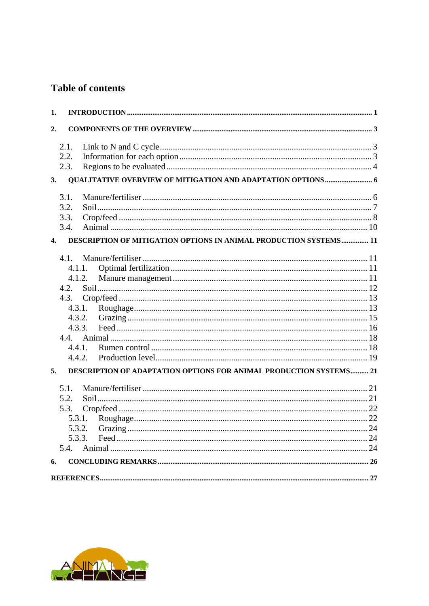## **Table of contents**

| 1.           |        |                                                                    |  |
|--------------|--------|--------------------------------------------------------------------|--|
| 2.           |        |                                                                    |  |
|              | 2.1.   |                                                                    |  |
|              | 2.2.   |                                                                    |  |
|              | 2.3.   |                                                                    |  |
| 3.           |        |                                                                    |  |
|              | 3.1.   |                                                                    |  |
|              | 3.2.   |                                                                    |  |
|              | 3.3.   |                                                                    |  |
|              | 3.4.   |                                                                    |  |
| $\mathbf{4}$ |        | DESCRIPTION OF MITIGATION OPTIONS IN ANIMAL PRODUCTION SYSTEMS 11  |  |
|              | 4.1.   |                                                                    |  |
|              | 4.1.1. |                                                                    |  |
|              | 4.1.2. |                                                                    |  |
|              | 4.2.   |                                                                    |  |
|              | 4.3.   |                                                                    |  |
|              | 4.3.1. |                                                                    |  |
|              | 4.3.2. |                                                                    |  |
|              | 4.3.3. |                                                                    |  |
|              | 4.4.   |                                                                    |  |
|              | 4.4.1. |                                                                    |  |
|              | 442    |                                                                    |  |
| 5.           |        | DESCRIPTION OF ADAPTATION OPTIONS FOR ANIMAL PRODUCTION SYSTEMS 21 |  |
|              | 5.1.   |                                                                    |  |
|              | 5.2.   |                                                                    |  |
|              | 5.3.   |                                                                    |  |
|              | 5.3.1. |                                                                    |  |
|              | 5.3.2. |                                                                    |  |
|              | 5.3.3. |                                                                    |  |
|              | 5.4.   |                                                                    |  |
| 6.           |        |                                                                    |  |
|              |        |                                                                    |  |

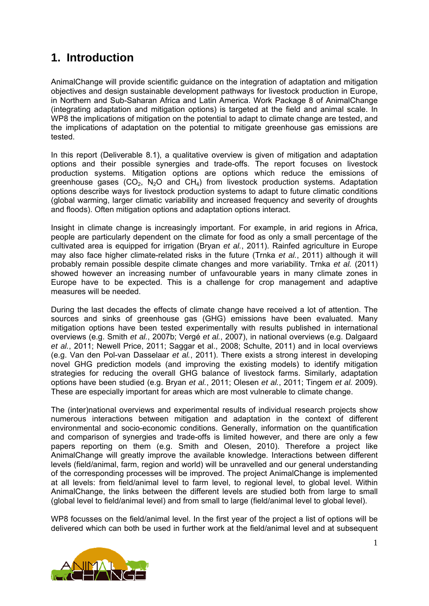# **1. Introduction**

AnimalChange will provide scientific guidance on the integration of adaptation and mitigation objectives and design sustainable development pathways for livestock production in Europe, in Northern and Sub-Saharan Africa and Latin America. Work Package 8 of AnimalChange (integrating adaptation and mitigation options) is targeted at the field and animal scale. In WP8 the implications of mitigation on the potential to adapt to climate change are tested, and the implications of adaptation on the potential to mitigate greenhouse gas emissions are tested.

In this report (Deliverable 8.1), a qualitative overview is given of mitigation and adaptation options and their possible synergies and trade-offs. The report focuses on livestock production systems. Mitigation options are options which reduce the emissions of greenhouse gases  $(CO_2, N_2O$  and  $CH_4$ ) from livestock production systems. Adaptation options describe ways for livestock production systems to adapt to future climatic conditions (global warming, larger climatic variability and increased frequency and severity of droughts and floods). Often mitigation options and adaptation options interact.

Insight in climate change is increasingly important. For example, in arid regions in Africa, people are particularly dependent on the climate for food as only a small percentage of the cultivated area is equipped for irrigation (Bryan *et al.*, 2011). Rainfed agriculture in Europe may also face higher climate-related risks in the future (Trnka *et al.*, 2011) although it will probably remain possible despite climate changes and more variability. Trnka *et al.* (2011) showed however an increasing number of unfavourable years in many climate zones in Europe have to be expected. This is a challenge for crop management and adaptive measures will be needed.

During the last decades the effects of climate change have received a lot of attention. The sources and sinks of greenhouse gas (GHG) emissions have been evaluated. Many mitigation options have been tested experimentally with results published in international overviews (e.g. Smith *et al.*, 2007b; Vergé *et al.*, 2007), in national overviews (e.g. Dalgaard *et al.*, 2011; Newell Price, 2011; Saggar et al., 2008; Schulte, 2011) and in local overviews (e.g. Van den Pol-van Dasselaar *et al.*, 2011). There exists a strong interest in developing novel GHG prediction models (and improving the existing models) to identify mitigation strategies for reducing the overall GHG balance of livestock farms. Similarly, adaptation options have been studied (e.g. Bryan *et al.*, 2011; Olesen *et al.*, 2011; Tingem *et al.* 2009). These are especially important for areas which are most vulnerable to climate change.

The (inter)national overviews and experimental results of individual research projects show numerous interactions between mitigation and adaptation in the context of different environmental and socio-economic conditions. Generally, information on the quantification and comparison of synergies and trade-offs is limited however, and there are only a few papers reporting on them (e.g. Smith and Olesen, 2010). Therefore a project like AnimalChange will greatly improve the available knowledge. Interactions between different levels (field/animal, farm, region and world) will be unravelled and our general understanding of the corresponding processes will be improved. The project AnimalChange is implemented at all levels: from field/animal level to farm level, to regional level, to global level. Within AnimalChange, the links between the different levels are studied both from large to small (global level to field/animal level) and from small to large (field/animal level to global level).

WP8 focusses on the field/animal level. In the first year of the project a list of options will be delivered which can both be used in further work at the field/animal level and at subsequent

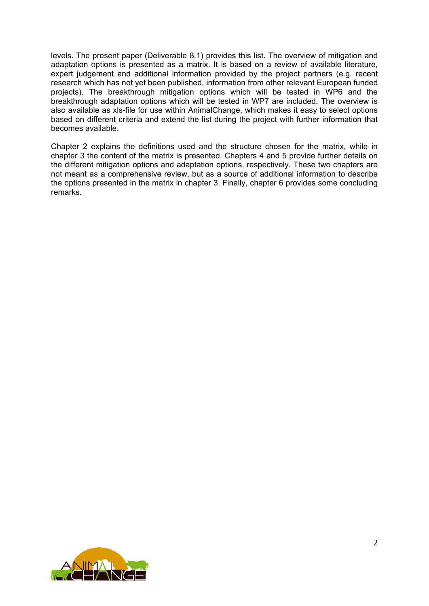levels. The present paper (Deliverable 8.1) provides this list. The overview of mitigation and adaptation options is presented as a matrix. It is based on a review of available literature, expert judgement and additional information provided by the project partners (e.g. recent research which has not yet been published, information from other relevant European funded projects). The breakthrough mitigation options which will be tested in WP6 and the breakthrough adaptation options which will be tested in WP7 are included. The overview is also available as xls-file for use within AnimalChange, which makes it easy to select options based on different criteria and extend the list during the project with further information that becomes available.

Chapter 2 explains the definitions used and the structure chosen for the matrix, while in chapter 3 the content of the matrix is presented. Chapters 4 and 5 provide further details on the different mitigation options and adaptation options, respectively. These two chapters are not meant as a comprehensive review, but as a source of additional information to describe the options presented in the matrix in chapter 3. Finally, chapter 6 provides some concluding remarks.

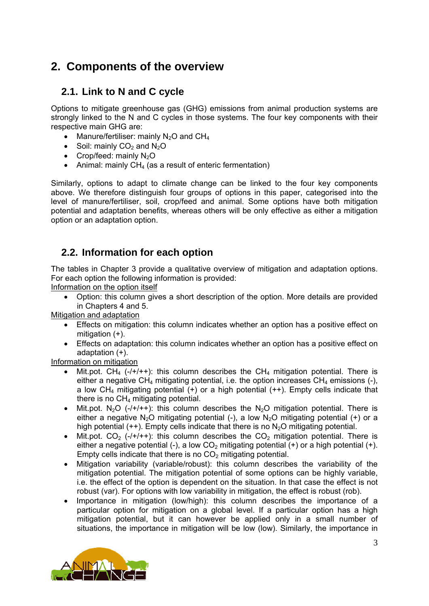# **2. Components of the overview**

## **2.1. Link to N and C cycle**

Options to mitigate greenhouse gas (GHG) emissions from animal production systems are strongly linked to the N and C cycles in those systems. The four key components with their respective main GHG are:

- Manure/fertiliser: mainly  $N_2O$  and  $CH_4$
- Soil: mainly  $CO<sub>2</sub>$  and  $N<sub>2</sub>O$
- Crop/feed: mainly  $N_2O$
- Animal: mainly  $CH<sub>4</sub>$  (as a result of enteric fermentation)

Similarly, options to adapt to climate change can be linked to the four key components above. We therefore distinguish four groups of options in this paper, categorised into the level of manure/fertiliser, soil, crop/feed and animal. Some options have both mitigation potential and adaptation benefits, whereas others will be only effective as either a mitigation option or an adaptation option.

## **2.2. Information for each option**

The tables in Chapter 3 provide a qualitative overview of mitigation and adaptation options. For each option the following information is provided:

Information on the option itself

 Option: this column gives a short description of the option. More details are provided in Chapters 4 and 5.

Mitigation and adaptation

- Effects on mitigation: this column indicates whether an option has a positive effect on mitigation (+).
- Effects on adaptation: this column indicates whether an option has a positive effect on adaptation (+).

Information on mitigation

- Mit.pot. CH<sub>4</sub> (-/+/++): this column describes the CH<sub>4</sub> mitigation potential. There is either a negative CH<sub>4</sub> mitigating potential, i.e. the option increases CH<sub>4</sub> emissions  $(-)$ , a low  $CH_4$  mitigating potential  $(+)$  or a high potential  $(++)$ . Empty cells indicate that there is no  $CH<sub>4</sub>$  mitigating potential.
- Mit.pot. N<sub>2</sub>O (-/+/++): this column describes the N<sub>2</sub>O mitigation potential. There is either a negative N<sub>2</sub>O mitigating potential (-), a low N<sub>2</sub>O mitigating potential (+) or a high potential  $(++)$ . Empty cells indicate that there is no  $N_2O$  mitigating potential.
- Mit.pot.  $CO_2$  (-/+/++): this column describes the  $CO_2$  mitigation potential. There is either a negative potential  $(-)$ , a low CO<sub>2</sub> mitigating potential  $(+)$  or a high potential  $(+)$ . Empty cells indicate that there is no  $CO<sub>2</sub>$  mitigating potential.
- Mitigation variability (variable/robust): this column describes the variability of the mitigation potential. The mitigation potential of some options can be highly variable, i.e. the effect of the option is dependent on the situation. In that case the effect is not robust (var). For options with low variability in mitigation, the effect is robust (rob).
- Importance in mitigation (low/high): this column describes the importance of a particular option for mitigation on a global level. If a particular option has a high mitigation potential, but it can however be applied only in a small number of situations, the importance in mitigation will be low (low). Similarly, the importance in

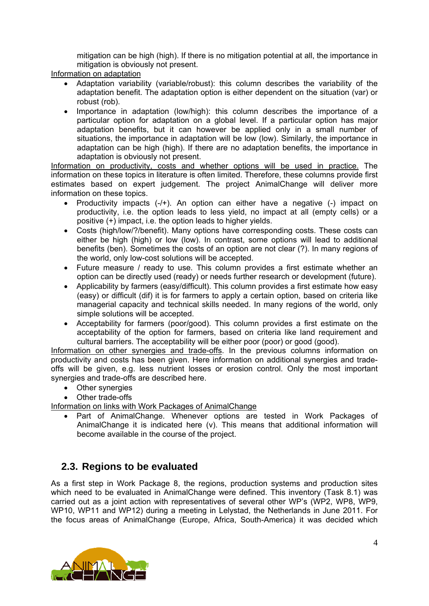mitigation can be high (high). If there is no mitigation potential at all, the importance in mitigation is obviously not present.

Information on adaptation

- Adaptation variability (variable/robust): this column describes the variability of the adaptation benefit. The adaptation option is either dependent on the situation (var) or robust (rob).
- Importance in adaptation (low/high): this column describes the importance of a particular option for adaptation on a global level. If a particular option has major adaptation benefits, but it can however be applied only in a small number of situations, the importance in adaptation will be low (low). Similarly, the importance in adaptation can be high (high). If there are no adaptation benefits, the importance in adaptation is obviously not present.

Information on productivity, costs and whether options will be used in practice. The information on these topics in literature is often limited. Therefore, these columns provide first estimates based on expert judgement. The project AnimalChange will deliver more information on these topics.

- Productivity impacts  $(-/+)$ . An option can either have a negative  $(-)$  impact on productivity, i.e. the option leads to less yield, no impact at all (empty cells) or a positive (+) impact, i.e. the option leads to higher yields.
- Costs (high/low/?/benefit). Many options have corresponding costs. These costs can either be high (high) or low (low). In contrast, some options will lead to additional benefits (ben). Sometimes the costs of an option are not clear (?). In many regions of the world, only low-cost solutions will be accepted.
- Future measure / ready to use. This column provides a first estimate whether an option can be directly used (ready) or needs further research or development (future).
- Applicability by farmers (easy/difficult). This column provides a first estimate how easy (easy) or difficult (dif) it is for farmers to apply a certain option, based on criteria like managerial capacity and technical skills needed. In many regions of the world, only simple solutions will be accepted.
- Acceptability for farmers (poor/good). This column provides a first estimate on the acceptability of the option for farmers, based on criteria like land requirement and cultural barriers. The acceptability will be either poor (poor) or good (good).

Information on other synergies and trade-offs. In the previous columns information on productivity and costs has been given. Here information on additional synergies and tradeoffs will be given, e.g. less nutrient losses or erosion control. Only the most important synergies and trade-offs are described here.

- Other synergies
- Other trade-offs

Information on links with Work Packages of AnimalChange

 Part of AnimalChange. Whenever options are tested in Work Packages of AnimalChange it is indicated here (v). This means that additional information will become available in the course of the project.

## **2.3. Regions to be evaluated**

As a first step in Work Package 8, the regions, production systems and production sites which need to be evaluated in AnimalChange were defined. This inventory (Task 8.1) was carried out as a joint action with representatives of several other WP's (WP2, WP8, WP9, WP10, WP11 and WP12) during a meeting in Lelystad, the Netherlands in June 2011. For the focus areas of AnimalChange (Europe, Africa, South-America) it was decided which

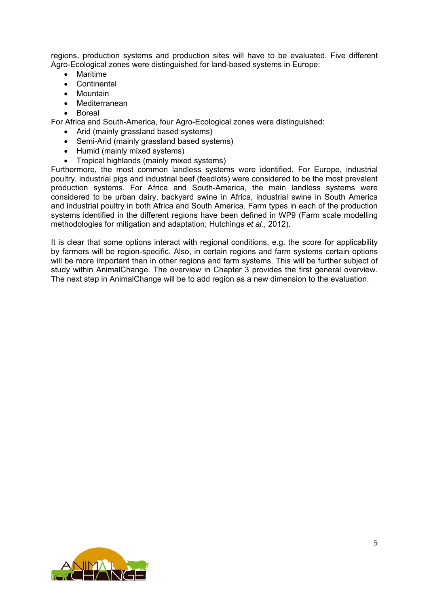regions, production systems and production sites will have to be evaluated. Five different Agro-Ecological zones were distinguished for land-based systems in Europe:

- Maritime
- Continental
- Mountain
- Mediterranean
- Boreal

For Africa and South-America, four Agro-Ecological zones were distinguished:

- Arid (mainly grassland based systems)
- Semi-Arid (mainly grassland based systems)
- Humid (mainly mixed systems)
- Tropical highlands (mainly mixed systems)

Furthermore, the most common landless systems were identified. For Europe, industrial poultry, industrial pigs and industrial beef (feedlots) were considered to be the most prevalent production systems. For Africa and South-America, the main landless systems were considered to be urban dairy, backyard swine in Africa, industrial swine in South America and industrial poultry in both Africa and South America. Farm types in each of the production systems identified in the different regions have been defined in WP9 (Farm scale modelling methodologies for mitigation and adaptation; Hutchings *et al.*, 2012).

It is clear that some options interact with regional conditions, e.g. the score for applicability by farmers will be region-specific. Also, in certain regions and farm systems certain options will be more important than in other regions and farm systems. This will be further subject of study within AnimalChange. The overview in Chapter 3 provides the first general overview. The next step in AnimalChange will be to add region as a new dimension to the evaluation.

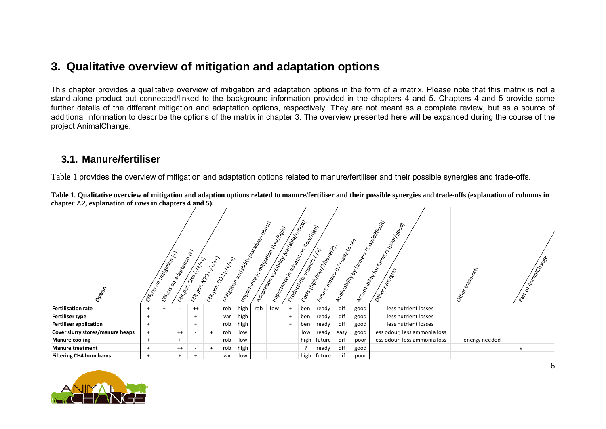## **3. Qualitative overview of mitigation and adaptation options**

This chapter provides a qualitative overview of mitigation and adaptation options in the form of a matrix. Please note that this matrix is not a stand-alone product but connected/linked to the background information provided in the chapters 4 and 5. Chapters 4 and 5 provide some further details of the different mitigation and adaptation options, respectively. They are not meant as a complete review, but as a source of additional information to describe the options of the matrix in chapter 3. The overview presented here will be expanded during the course of the project AnimalChange.

## **3.1. Manure/fertiliser**

Table 1 provides the overview of mitigation and adaptation options related to manure/fertiliser and their possible synergies and trade-offs.

|                                  |           | Eficación militaria (H) | Efictor on adoption (x)  | Mitoon CHATHAM<br>Mit.bot. N20 L.Y | Milhook COLLIN XX |     | I Mission Reading to the Haristoke Trouslay |     | Adaptation for the Main Capital Concernsion<br>Importance in mileston (but Italia) | Importance in adaptation (lower dest)<br>Podchitrich magnetic Little | Costs (high papel of The Resist)<br>Future measure |      |      | Appicability by Kampion Steam Monter<br>Acceptation Manuscript | Otler traces  |   | Battoning Cape |
|----------------------------------|-----------|-------------------------|--------------------------|------------------------------------|-------------------|-----|---------------------------------------------|-----|------------------------------------------------------------------------------------|----------------------------------------------------------------------|----------------------------------------------------|------|------|----------------------------------------------------------------|---------------|---|----------------|
| Opticop                          |           |                         |                          |                                    |                   |     |                                             |     |                                                                                    |                                                                      |                                                    |      |      |                                                                |               |   |                |
| <b>Fertilisation rate</b>        | $+$       |                         | $\overline{\phantom{a}}$ | $^{++}$                            |                   | rob | high                                        | rob | low                                                                                | ben                                                                  | ready                                              | dif  | good | less nutrient losses                                           |               |   |                |
| <b>Fertiliser type</b>           | $\ddot{}$ |                         |                          | $+$                                |                   | var | high                                        |     |                                                                                    | ben                                                                  | ready                                              | dif  | good | less nutrient losses                                           |               |   |                |
| Fertiliser application           | $\ddot{}$ |                         |                          | $+$                                |                   | rob | high                                        |     |                                                                                    | ben                                                                  | ready                                              | dif  | good | less nutrient losses                                           |               |   |                |
| Cover slurry stores/manure heaps | $^{+}$    |                         | $^{++}$                  | $\overline{\phantom{a}}$           | $^{+}$            | rob | low                                         |     |                                                                                    | low                                                                  | ready                                              | easy | good | less odour, less ammonia loss                                  |               |   |                |
| <b>Manure cooling</b>            | $+$       |                         | $+$                      |                                    |                   | rob | low                                         |     |                                                                                    | high                                                                 | future                                             | dif  | poor | less odour, less ammonia loss                                  | energy needed |   |                |
| <b>Manure treatment</b>          | $^{+}$    |                         | $^{++}$                  | $\overline{\phantom{a}}$           | $^{+}$            | rob | high                                        |     |                                                                                    |                                                                      | ready                                              | dif  | good |                                                                |               | v |                |
| <b>Filtering CH4 from barns</b>  | $+$       |                         | $+$                      |                                    |                   | var | low                                         |     |                                                                                    | high                                                                 | future                                             | dif  | poor |                                                                |               |   |                |

**Table 1. Qualitative overview of mitigation and adaption options related to manure/fertiliser and their possible synergies and trade-offs (explanation of columns in chapter 2.2, explanation of rows in chapters 4 and 5).** 



6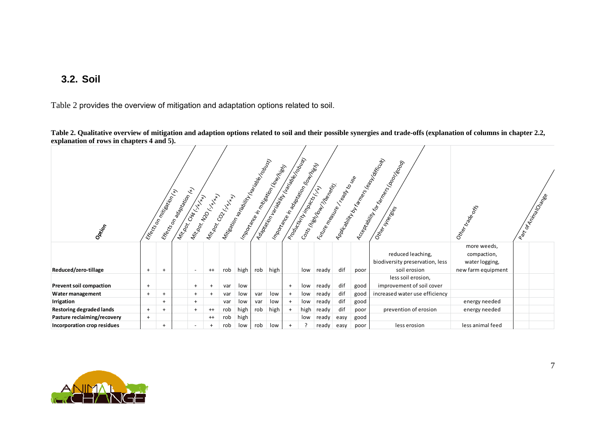## **3.2. Soil**

Table 2 provides the overview of mitigation and adaptation options related to soil.

**Table 2. Qualitative overview of mitigation and adaption options related to soil and their possible synergies and trade-offs (explanation of columns in chapter 2.2, explanation of rows in chapters 4 and 5).** 

| Opticor                         |           | Eficación militaria en la final | Eficts on adaptation (r.y. | Mittoor Chat H.H.        | Mikok Neokyk<br>Mitzook COLLIN XX | witakion language of the right of roughly |      |     | Adaptation fraction of the Marine Road Policies<br>Importance in mitseation (for the littles) |     | Importance in adaptation (lowing<br>Productive Minimage Island | I Kittenheague er ready to vige<br>Costs (high Journal Theorien) |      |      | Applicability by Fames (Read Volting Ult)<br>Acceptally for the Mac Hoop | Other trade ors                                                    | Part of Millian Construction |
|---------------------------------|-----------|---------------------------------|----------------------------|--------------------------|-----------------------------------|-------------------------------------------|------|-----|-----------------------------------------------------------------------------------------------|-----|----------------------------------------------------------------|------------------------------------------------------------------|------|------|--------------------------------------------------------------------------|--------------------------------------------------------------------|------------------------------|
| Reduced/zero-tillage            | $\ddot{}$ | $+$                             |                            | $\overline{\phantom{a}}$ | $^{++}$                           | rob                                       | high | rob | high                                                                                          |     | low                                                            | ready                                                            | dif  | poor | reduced leaching,<br>biodiversity preservation, less<br>soil erosion     | more weeds,<br>compaction,<br>water logging,<br>new farm equipment |                              |
|                                 |           |                                 |                            |                          |                                   |                                           |      |     |                                                                                               |     |                                                                |                                                                  |      |      | less soil erosion,                                                       |                                                                    |                              |
| <b>Prevent soil compaction</b>  | $^{+}$    |                                 |                            | $+$                      |                                   | var                                       | low  |     |                                                                                               | $+$ | low                                                            | ready                                                            | dif  | good | improvement of soil cover                                                |                                                                    |                              |
| Water management                | $+$       | $\pm$                           |                            | $+$                      | $+$                               | var                                       | low  | var | low                                                                                           | $+$ | low                                                            | ready                                                            | dif  | good | increased water use efficiency                                           |                                                                    |                              |
| Irrigation                      |           | $+$                             |                            | $+$                      |                                   | var                                       | low  | var | low                                                                                           | $+$ | low                                                            | ready                                                            | dif  | good |                                                                          | energy needed                                                      |                              |
| <b>Restoring degraded lands</b> | $+$       |                                 |                            | $+$                      | $^{++}$                           | rob                                       | high | rob | high                                                                                          | $+$ | high                                                           | ready                                                            | dif  | poor | prevention of erosion                                                    | energy needed                                                      |                              |
| Pasture reclaiming/recovery     | $+$       |                                 |                            |                          | $^{++}$                           | rob                                       | high |     |                                                                                               |     | low                                                            | ready                                                            | easy | good |                                                                          |                                                                    |                              |
| Incorporation crop residues     |           | $\overline{+}$                  |                            | $\overline{\phantom{a}}$ |                                   | rob                                       | low  | rob | low                                                                                           | $+$ |                                                                | ready                                                            | easy | poor | less erosion                                                             | less animal feed                                                   |                              |

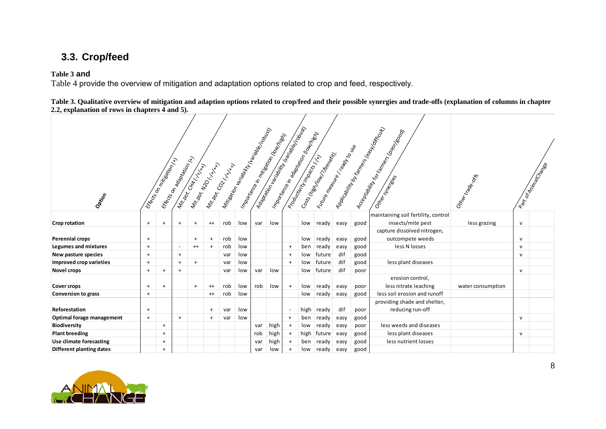# **3.3. Crop/feed**

**Table 3 and** 

Table 4 provide the overview of mitigation and adaptation options related to crop and feed, respectively.

**Table 3. Qualitative overview of mitigation and adaption options related to crop/feed and their possible synergies and trade-offs (explanation of columns in chapter 2.2, explanation of rows in chapters 4 and 5).**

|                             | Adaptation Maritime (Inc. Contact on Maritime )<br>ADDIC-30/iity by Farmer Res Leagues<br>Antisonian language de la réalistique<br>Accoration of the Campion Moople<br>I montarce in adaptation (lowing)<br>I moortanee in mitseation (low triets)<br>I Kittenheerd Read For Manufacture<br>Costs (high four modernit)<br>Industrial Management of Str.<br><b>ERECTOR ROUGHAM</b><br><b>Eficacy millipsing City</b><br>Mitoon Neo Kxxxx<br>Mitook Golf XXXX<br>Mittography Little Hand |           |                          |         |                |     |     |     |      |                          |      |        |      |      |                                                          | Other traped      |              | Part of Animalista Ree |
|-----------------------------|----------------------------------------------------------------------------------------------------------------------------------------------------------------------------------------------------------------------------------------------------------------------------------------------------------------------------------------------------------------------------------------------------------------------------------------------------------------------------------------|-----------|--------------------------|---------|----------------|-----|-----|-----|------|--------------------------|------|--------|------|------|----------------------------------------------------------|-------------------|--------------|------------------------|
| Option                      |                                                                                                                                                                                                                                                                                                                                                                                                                                                                                        |           |                          |         |                |     |     |     |      |                          |      |        |      |      |                                                          |                   |              |                        |
| Crop rotation               | $\ddot{}$                                                                                                                                                                                                                                                                                                                                                                                                                                                                              | $\ddot{}$ | $+$                      | $+$     | $^{++}$        | rob | low | var | low  |                          | low  | ready  | easy | good | maintaining soil fertility, control<br>insects/mite pest | less grazing      | $\mathsf{v}$ |                        |
|                             |                                                                                                                                                                                                                                                                                                                                                                                                                                                                                        |           |                          |         |                |     |     |     |      |                          |      |        |      |      | capture dissolved nitrogen,                              |                   |              |                        |
| <b>Perennial crops</b>      | $\ddot{}$                                                                                                                                                                                                                                                                                                                                                                                                                                                                              |           |                          | $+$     | $\overline{1}$ | rob | low |     |      |                          | low  | ready  | easy | good | outcompete weeds                                         |                   | $\mathsf{v}$ |                        |
| <b>Legumes and mixtures</b> | $\ddot{}$                                                                                                                                                                                                                                                                                                                                                                                                                                                                              |           | $\overline{\phantom{a}}$ | $^{++}$ | $\overline{+}$ | rob | low |     |      | $+$                      | ben  | ready  | easy | good | less N losses                                            |                   | $\mathsf{v}$ |                        |
| New pasture species         | $\ddot{}$                                                                                                                                                                                                                                                                                                                                                                                                                                                                              |           | $+$                      |         |                | var | low |     |      | $+$                      | low  | future | dif  | good |                                                          |                   | $\mathsf{v}$ |                        |
| Improved crop varieties     | $^{+}$                                                                                                                                                                                                                                                                                                                                                                                                                                                                                 |           | $\ddot{}$                | $+$     |                | var | low |     |      | $+$                      | low  | future | dif  | good | less plant diseases                                      |                   |              |                        |
| Novel crops                 | $\ddot{}$                                                                                                                                                                                                                                                                                                                                                                                                                                                                              | $+$       | $\ddot{}$                |         |                | var | low | var | low  |                          | low  | future | dif  | poor |                                                          |                   | $\mathsf{v}$ |                        |
| <b>Cover crops</b>          | $\ddot{}$                                                                                                                                                                                                                                                                                                                                                                                                                                                                              | $+$       |                          | $+$     | $^{++}$        | rob | low | rob | low  | $\ddot{}$                | low  | ready  | easy | poor | erosion control,<br>less nitrate leaching                | water consumption |              |                        |
| <b>Conversion to grass</b>  | $^{+}$                                                                                                                                                                                                                                                                                                                                                                                                                                                                                 |           |                          |         | $^{++}$        | rob | low |     |      |                          | low  | ready  | easy | good | less soil erosion and runoff                             |                   |              |                        |
| Reforestation               | $^{+}$                                                                                                                                                                                                                                                                                                                                                                                                                                                                                 |           |                          |         | $\overline{+}$ | var | low |     |      | $\overline{\phantom{a}}$ | high | ready  | dif  | poor | providing shade and shelter,<br>reducing run-off         |                   |              |                        |
| Optimal forage management   | $+$                                                                                                                                                                                                                                                                                                                                                                                                                                                                                    |           | $+$                      |         | $\overline{+}$ | var | low |     |      | $\ddot{}$                | ben  | ready  | easy | good |                                                          |                   | $\mathsf{v}$ |                        |
| <b>Biodiversity</b>         |                                                                                                                                                                                                                                                                                                                                                                                                                                                                                        | $\ddot{}$ |                          |         |                |     |     | var | high | $\ddot{}$                | low  | ready  | easy | poor | less weeds and diseases                                  |                   |              |                        |
| <b>Plant breeding</b>       |                                                                                                                                                                                                                                                                                                                                                                                                                                                                                        | $\ddot{}$ |                          |         |                |     |     | rob | high | $\ddot{}$                | high | future | easy | good | less plant diseases                                      |                   | $\mathsf{v}$ |                        |
| Use climate forecasting     |                                                                                                                                                                                                                                                                                                                                                                                                                                                                                        | $+$       |                          |         |                |     |     | var | high | $\ddot{}$                | ben  | ready  | easy | good | less nutrient losses                                     |                   |              |                        |
| Different planting dates    |                                                                                                                                                                                                                                                                                                                                                                                                                                                                                        | $+$       |                          |         |                |     |     | var | low  | $+$                      | low  | ready  | easy | good |                                                          |                   |              |                        |

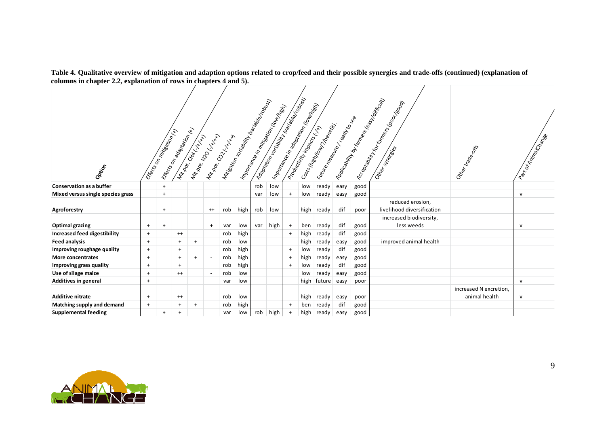|                                   | Adaptation Islam Maritime Reading Contractor<br>Andread Hit by Farmer Read Politicum<br>Integrity reading the right reading the right<br>Accoration of the Campion Mood Hood<br>I montarce in adaptation (lowing)<br>I montaries in mitseation (for the light)<br>I Kittenheerd Read Kollage<br>Costs (high four modernity)<br>Industrial Management of H<br>Efecto on adaptation (x)<br><b>Eficacy millipset delivery.</b><br>Mitoon Neo Kitch<br>Mithops Contract NAM<br>Mittography Charles R. |           |           |     |         |     |      |     |      |           |      |             |      |      |                            | Other traces           |              | Part Of Minimage Ree |
|-----------------------------------|---------------------------------------------------------------------------------------------------------------------------------------------------------------------------------------------------------------------------------------------------------------------------------------------------------------------------------------------------------------------------------------------------------------------------------------------------------------------------------------------------|-----------|-----------|-----|---------|-----|------|-----|------|-----------|------|-------------|------|------|----------------------------|------------------------|--------------|----------------------|
| Option                            |                                                                                                                                                                                                                                                                                                                                                                                                                                                                                                   |           |           |     |         |     |      |     |      |           |      |             |      |      |                            |                        |              |                      |
| <b>Conservation as a buffer</b>   |                                                                                                                                                                                                                                                                                                                                                                                                                                                                                                   | $+$       |           |     |         |     |      | rob | low  |           | low  | ready       | easy | good |                            |                        |              |                      |
| Mixed versus single species grass |                                                                                                                                                                                                                                                                                                                                                                                                                                                                                                   | $+$       |           |     |         |     |      | var | low  | $\ddot{}$ | low  | ready       | easy | good |                            |                        | $\mathsf{v}$ |                      |
|                                   |                                                                                                                                                                                                                                                                                                                                                                                                                                                                                                   |           |           |     |         |     |      |     |      |           |      |             |      |      | reduced erosion,           |                        |              |                      |
| Agroforestry                      |                                                                                                                                                                                                                                                                                                                                                                                                                                                                                                   | $\ddot{}$ |           |     | $^{++}$ | rob | high | rob | low  |           |      | high ready  | dif  | poor | livelihood diversification |                        |              |                      |
|                                   |                                                                                                                                                                                                                                                                                                                                                                                                                                                                                                   |           |           |     |         |     |      |     |      |           |      |             |      |      | increased biodiversity,    |                        |              |                      |
| <b>Optimal grazing</b>            | $^{+}$                                                                                                                                                                                                                                                                                                                                                                                                                                                                                            | $+$       |           |     | $^{+}$  | var | low  | var | high | $+$       | ben  | ready       | dif  | good | less weeds                 |                        | v            |                      |
| Increased feed digestibility      | $^{+}$                                                                                                                                                                                                                                                                                                                                                                                                                                                                                            |           | $^{++}$   |     |         | rob | high |     |      | $+$       | high | ready       | dif  | good |                            |                        |              |                      |
| <b>Feed analysis</b>              | $^{+}$                                                                                                                                                                                                                                                                                                                                                                                                                                                                                            |           | $\ddot{}$ | $+$ |         | rob | low  |     |      |           | high | ready       | easy | good | improved animal health     |                        |              |                      |
| Improving roughage quality        | $^{+}$                                                                                                                                                                                                                                                                                                                                                                                                                                                                                            |           | $\ddot{}$ |     |         | rob | high |     |      | $+$       | low  | ready       | dif  | good |                            |                        |              |                      |
| <b>More concentrates</b>          | $^{+}$                                                                                                                                                                                                                                                                                                                                                                                                                                                                                            |           | $+$       | $+$ |         | rob | high |     |      | $^{+}$    | high | ready       | easy | good |                            |                        |              |                      |
| Improving grass quality           | $^{+}$                                                                                                                                                                                                                                                                                                                                                                                                                                                                                            |           | $+$       |     |         | rob | high |     |      | $+$       | low  | ready       | dif  | good |                            |                        |              |                      |
| Use of silage maize               | $^{+}$                                                                                                                                                                                                                                                                                                                                                                                                                                                                                            |           | $^{++}$   |     |         | rob | low  |     |      |           | low  | ready       | easy | good |                            |                        |              |                      |
| <b>Additives in general</b>       | $^{+}$                                                                                                                                                                                                                                                                                                                                                                                                                                                                                            |           |           |     |         | var | low  |     |      |           |      | high future | easy | poor |                            |                        | $\mathsf{v}$ |                      |
|                                   |                                                                                                                                                                                                                                                                                                                                                                                                                                                                                                   |           |           |     |         |     |      |     |      |           |      |             |      |      |                            | increased N excretion, |              |                      |
| <b>Additive nitrate</b>           | $^{+}$                                                                                                                                                                                                                                                                                                                                                                                                                                                                                            |           | $++$      |     |         | rob | low  |     |      |           |      | high ready  | easy | poor |                            | animal health          | $\mathsf{v}$ |                      |
| Matching supply and demand        | $^{+}$                                                                                                                                                                                                                                                                                                                                                                                                                                                                                            |           | $\ddot{}$ | $+$ |         | rob | high |     |      | $^{+}$    | ben  | ready       | dif  | good |                            |                        |              |                      |
| <b>Supplemental feeding</b>       |                                                                                                                                                                                                                                                                                                                                                                                                                                                                                                   | $+$       | $+$       |     |         | var | low  | rob | high | $+$       | high | ready       | easy | good |                            |                        |              |                      |

**Table 4. Qualitative overview of mitigation and adaption options related to crop/feed and their possible synergies and trade-offs (continued) (explanation of columns in chapter 2.2, explanation of rows in chapters 4 and 5).** 

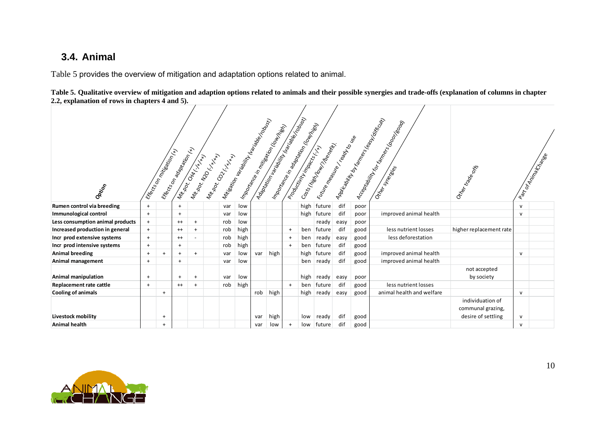## **3.4. Animal**

Table 5 provides the overview of mitigation and adaptation options related to animal.



|                                  |           | <b>Effects</b> on mitigation (r) | Efecto on adoption of the Carpet | Mit.ook. Chat. H.H. N | Mitoring Crystal<br>Mitorcor Kxxxx |     | I Mitsorion landow Mariake robotsy |     | Adaptation Maritime (Inc. Contactor of Maritime Contactor)<br>Importance in mitseation (four filter) |     | Importance in adaptation (lowing)<br>Program Minimage Island | I Kittenheega Keep Keep Kologe<br>Costs (high four thrown) |      |      | A POIF GOVING AT TRANSPORTATION OF THE VALUE<br>Acceptablish for the Manus Road | Other trapes                                                |              | Part Of Animatical Bree |
|----------------------------------|-----------|----------------------------------|----------------------------------|-----------------------|------------------------------------|-----|------------------------------------|-----|------------------------------------------------------------------------------------------------------|-----|--------------------------------------------------------------|------------------------------------------------------------|------|------|---------------------------------------------------------------------------------|-------------------------------------------------------------|--------------|-------------------------|
| Option                           |           |                                  |                                  |                       |                                    |     |                                    |     |                                                                                                      |     |                                                              |                                                            |      |      |                                                                                 |                                                             |              |                         |
| Rumen control via breeding       | $+$       |                                  | $+$                              |                       |                                    | var | low                                |     |                                                                                                      |     |                                                              | high future                                                | dif  | poor |                                                                                 |                                                             | $\mathsf{v}$ |                         |
| Immunological control            | $+$       |                                  | $+$                              |                       |                                    | var | low                                |     |                                                                                                      |     |                                                              | high   future                                              | dif  | poor | improved animal health                                                          |                                                             | $\mathsf{v}$ |                         |
| Less consumption animal products | $\ddot{}$ |                                  | $^{++}$                          | $+$                   |                                    | rob | low                                |     |                                                                                                      |     |                                                              | ready                                                      | easy | poor |                                                                                 |                                                             |              |                         |
| Increased production in general  | $+$       |                                  | $^{++}$                          | $+$                   |                                    | rob | high                               |     |                                                                                                      | $+$ | ben                                                          | future                                                     | dif  | good | less nutrient losses                                                            | higher replacement rate                                     |              |                         |
| Incr prod extensive systems      | $+$       |                                  | $^{++}$                          |                       |                                    | rob | high                               |     |                                                                                                      | $+$ | ben                                                          | ready                                                      | easy | good | less deforestation                                                              |                                                             |              |                         |
| Incr prod intensive systems      | $\ddot{}$ |                                  | $+$                              |                       |                                    | rob | high                               |     |                                                                                                      | $+$ | ben                                                          | future                                                     | dif  | good |                                                                                 |                                                             |              |                         |
| <b>Animal breeding</b>           | $+$       | $+$                              | $+$                              | $+$                   |                                    | var | low                                | var | high                                                                                                 |     | high                                                         | future                                                     | dif  | good | improved animal health                                                          |                                                             | $\mathsf{v}$ |                         |
| Animal management                | $\ddot{}$ |                                  | $+$                              |                       |                                    | var | low                                |     |                                                                                                      |     | ben                                                          | ready                                                      | dif  | good | improved animal health                                                          |                                                             |              |                         |
| <b>Animal manipulation</b>       | $+$       |                                  | $^{+}$                           | $+$                   |                                    | var | low                                |     |                                                                                                      |     |                                                              | high ready                                                 | easy | poor |                                                                                 | not accepted<br>by society                                  |              |                         |
| Replacement rate cattle          | $\ddot{}$ |                                  | $^{++}$                          | $+$                   |                                    | rob | high                               |     |                                                                                                      | $+$ | ben                                                          | future                                                     | dif  | good | less nutrient losses                                                            |                                                             |              |                         |
| <b>Cooling of animals</b>        |           | $+$                              |                                  |                       |                                    |     |                                    | rob | high                                                                                                 |     |                                                              | high ready                                                 | easy | good | animal health and welfare                                                       |                                                             | $\mathsf{v}$ |                         |
| Livestock mobility               |           | $\overline{+}$                   |                                  |                       |                                    |     |                                    | var | high                                                                                                 |     | low                                                          | ready                                                      | dif  | good |                                                                                 | individuation of<br>communal grazing,<br>desire of settling | $\mathsf{v}$ |                         |
| <b>Animal health</b>             |           | $+$                              |                                  |                       |                                    |     |                                    | var | low                                                                                                  |     | low                                                          | future                                                     | dif  | good |                                                                                 |                                                             | $\mathsf{v}$ |                         |

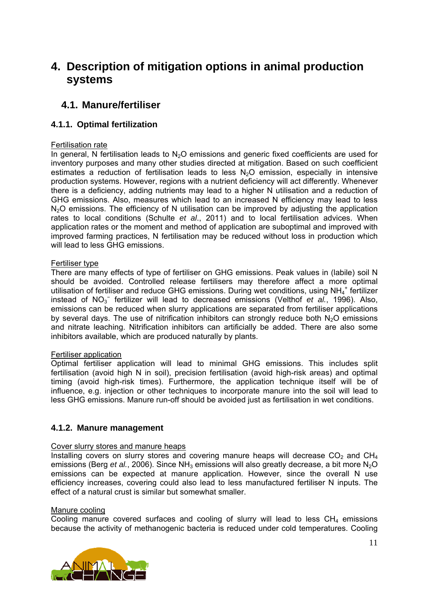# **4. Description of mitigation options in animal production systems**

## **4.1. Manure/fertiliser**

## **4.1.1. Optimal fertilization**

#### Fertilisation rate

In general, N fertilisation leads to  $N<sub>2</sub>O$  emissions and generic fixed coefficients are used for inventory purposes and many other studies directed at mitigation. Based on such coefficient estimates a reduction of fertilisation leads to less  $N<sub>2</sub>O$  emission, especially in intensive production systems. However, regions with a nutrient deficiency will act differently. Whenever there is a deficiency, adding nutrients may lead to a higher N utilisation and a reduction of GHG emissions. Also, measures which lead to an increased N efficiency may lead to less  $N<sub>2</sub>O$  emissions. The efficiency of N utilisation can be improved by adjusting the application rates to local conditions (Schulte *et al*., 2011) and to local fertilisation advices. When application rates or the moment and method of application are suboptimal and improved with improved farming practices, N fertilisation may be reduced without loss in production which will lead to less GHG emissions.

#### Fertiliser type

There are many effects of type of fertiliser on GHG emissions. Peak values in (labile) soil N should be avoided. Controlled release fertilisers may therefore affect a more optimal utilisation of fertiliser and reduce GHG emissions. During wet conditions, using NH<sub>4</sub><sup>+</sup> fertilizer instead of NO<sub>3</sub><sup>-</sup> fertilizer will lead to decreased emissions (Velthof *et al.*, 1996). Also, emissions can be reduced when slurry applications are separated from fertiliser applications by several days. The use of nitrification inhibitors can strongly reduce both  $N<sub>2</sub>O$  emissions and nitrate leaching. Nitrification inhibitors can artificially be added. There are also some inhibitors available, which are produced naturally by plants.

#### Fertiliser application

Optimal fertiliser application will lead to minimal GHG emissions. This includes split fertilisation (avoid high N in soil), precision fertilisation (avoid high-risk areas) and optimal timing (avoid high-risk times). Furthermore, the application technique itself will be of influence, e.g. injection or other techniques to incorporate manure into the soil will lead to less GHG emissions. Manure run-off should be avoided just as fertilisation in wet conditions.

#### **4.1.2. Manure management**

#### Cover slurry stores and manure heaps

Installing covers on slurry stores and covering manure heaps will decrease  $CO<sub>2</sub>$  and  $CH<sub>4</sub>$ emissions (Berg *et al.*, 2006). Since NH<sub>3</sub> emissions will also greatly decrease, a bit more N<sub>2</sub>O emissions can be expected at manure application. However, since the overall N use efficiency increases, covering could also lead to less manufactured fertiliser N inputs. The effect of a natural crust is similar but somewhat smaller.

#### Manure cooling

Cooling manure covered surfaces and cooling of slurry will lead to less  $CH<sub>4</sub>$  emissions because the activity of methanogenic bacteria is reduced under cold temperatures. Cooling

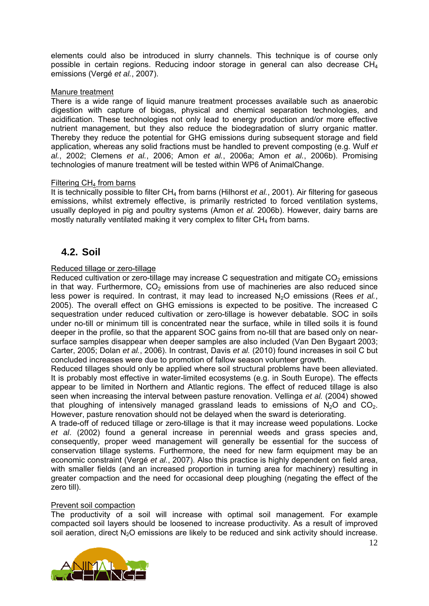elements could also be introduced in slurry channels. This technique is of course only possible in certain regions. Reducing indoor storage in general can also decrease  $CH_4$ emissions (Vergé *et al.*, 2007).

#### Manure treatment

There is a wide range of liquid manure treatment processes available such as anaerobic digestion with capture of biogas, physical and chemical separation technologies, and acidification. These technologies not only lead to energy production and/or more effective nutrient management, but they also reduce the biodegradation of slurry organic matter. Thereby they reduce the potential for GHG emissions during subsequent storage and field application, whereas any solid fractions must be handled to prevent composting (e.g. Wulf *et al.*, 2002; Clemens *et al.*, 2006; Amon *et al.*, 2006a; Amon *et al.*, 2006b). Promising technologies of manure treatment will be tested within WP6 of AnimalChange.

#### Filtering CH<sub>4</sub> from barns

It is technically possible to filter CH<sub>4</sub> from barns (Hilhorst *et al.*, 2001). Air filtering for gaseous emissions, whilst extremely effective, is primarily restricted to forced ventilation systems, usually deployed in pig and poultry systems (Amon *et al.* 2006b). However, dairy barns are mostly naturally ventilated making it very complex to filter  $CH<sub>4</sub>$  from barns.

## **4.2. Soil**

#### Reduced tillage or zero-tillage

Reduced cultivation or zero-tillage may increase C sequestration and mitigate  $CO<sub>2</sub>$  emissions in that way. Furthermore,  $CO<sub>2</sub>$  emissions from use of machineries are also reduced since less power is required. In contrast, it may lead to increased N<sub>2</sub>O emissions (Rees *et al.*, 2005). The overall effect on GHG emissions is expected to be positive. The increased C sequestration under reduced cultivation or zero-tillage is however debatable. SOC in soils under no-till or minimum till is concentrated near the surface, while in tilled soils it is found deeper in the profile, so that the apparent SOC gains from no-till that are based only on nearsurface samples disappear when deeper samples are also included (Van Den Bygaart 2003; Carter, 2005; Dolan *et al.*, 2006). In contrast, Davis *et al.* (2010) found increases in soil C but concluded increases were due to promotion of fallow season volunteer growth.

Reduced tillages should only be applied where soil structural problems have been alleviated. It is probably most effective in water-limited ecosystems (e.g. in South Europe). The effects appear to be limited in Northern and Atlantic regions. The effect of reduced tillage is also seen when increasing the interval between pasture renovation. Vellinga *et al.* (2004) showed that ploughing of intensively managed grassland leads to emissions of  $N_2O$  and  $CO_2$ . However, pasture renovation should not be delayed when the sward is deteriorating.

A trade-off of reduced tillage or zero-tillage is that it may increase weed populations. Locke *et al*. (2002) found a general increase in perennial weeds and grass species and, consequently, proper weed management will generally be essential for the success of conservation tillage systems. Furthermore, the need for new farm equipment may be an economic constraint (Vergé *et al.*, 2007). Also this practice is highly dependent on field area, with smaller fields (and an increased proportion in turning area for machinery) resulting in greater compaction and the need for occasional deep ploughing (negating the effect of the zero till).

#### Prevent soil compaction

The productivity of a soil will increase with optimal soil management. For example compacted soil layers should be loosened to increase productivity. As a result of improved soil aeration, direct N<sub>2</sub>O emissions are likely to be reduced and sink activity should increase.

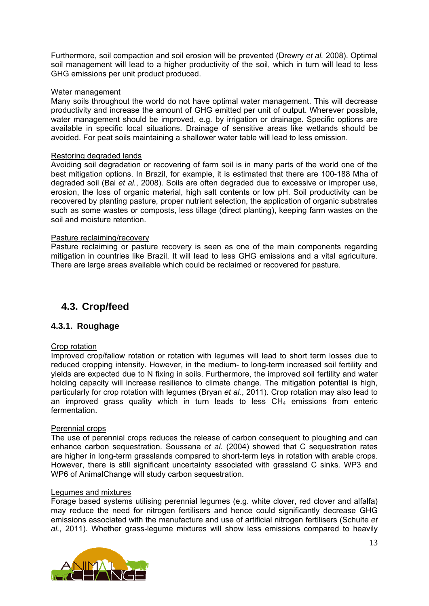Furthermore, soil compaction and soil erosion will be prevented (Drewry *et al.* 2008). Optimal soil management will lead to a higher productivity of the soil, which in turn will lead to less GHG emissions per unit product produced.

#### Water management

Many soils throughout the world do not have optimal water management. This will decrease productivity and increase the amount of GHG emitted per unit of output. Wherever possible, water management should be improved, e.g. by irrigation or drainage. Specific options are available in specific local situations. Drainage of sensitive areas like wetlands should be avoided. For peat soils maintaining a shallower water table will lead to less emission.

#### Restoring degraded lands

Avoiding soil degradation or recovering of farm soil is in many parts of the world one of the best mitigation options. In Brazil, for example, it is estimated that there are 100-188 Mha of degraded soil (Bai *et al.*, 2008). Soils are often degraded due to excessive or improper use, erosion, the loss of organic material, high salt contents or low pH. Soil productivity can be recovered by planting pasture, proper nutrient selection, the application of organic substrates such as some wastes or composts, less tillage (direct planting), keeping farm wastes on the soil and moisture retention.

#### Pasture reclaiming/recovery

Pasture reclaiming or pasture recovery is seen as one of the main components regarding mitigation in countries like Brazil. It will lead to less GHG emissions and a vital agriculture. There are large areas available which could be reclaimed or recovered for pasture.

## **4.3. Crop/feed**

#### **4.3.1. Roughage**

#### Crop rotation

Improved crop/fallow rotation or rotation with legumes will lead to short term losses due to reduced cropping intensity. However, in the medium- to long-term increased soil fertility and yields are expected due to N fixing in soils. Furthermore, the improved soil fertility and water holding capacity will increase resilience to climate change. The mitigation potential is high, particularly for crop rotation with legumes (Bryan *et al.*, 2011). Crop rotation may also lead to an improved grass quality which in turn leads to less  $CH<sub>4</sub>$  emissions from enteric fermentation.

#### Perennial crops

The use of perennial crops reduces the release of carbon consequent to ploughing and can enhance carbon sequestration. Soussana *et al.* (2004) showed that C sequestration rates are higher in long-term grasslands compared to short-term leys in rotation with arable crops. However, there is still significant uncertainty associated with grassland C sinks. WP3 and WP6 of AnimalChange will study carbon sequestration.

#### Legumes and mixtures

Forage based systems utilising perennial legumes (e.g. white clover, red clover and alfalfa) may reduce the need for nitrogen fertilisers and hence could significantly decrease GHG emissions associated with the manufacture and use of artificial nitrogen fertilisers (Schulte *et al.*, 2011). Whether grass-legume mixtures will show less emissions compared to heavily

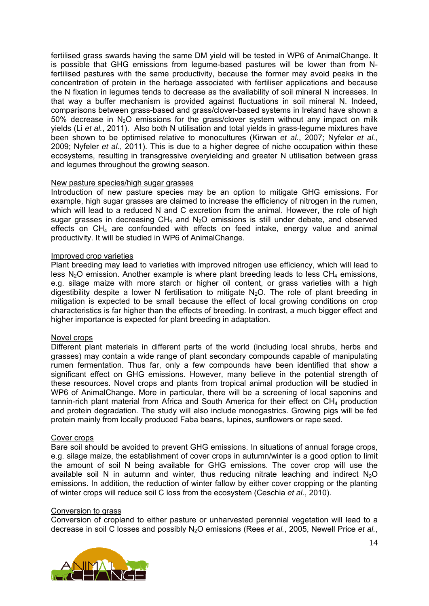fertilised grass swards having the same DM yield will be tested in WP6 of AnimalChange. It is possible that GHG emissions from legume-based pastures will be lower than from Nfertilised pastures with the same productivity, because the former may avoid peaks in the concentration of protein in the herbage associated with fertiliser applications and because the N fixation in legumes tends to decrease as the availability of soil mineral N increases. In that way a buffer mechanism is provided against fluctuations in soil mineral N. Indeed, comparisons between grass-based and grass/clover-based systems in Ireland have shown a 50% decrease in  $N<sub>2</sub>O$  emissions for the grass/clover system without any impact on milk yields (Li *et al.*, 2011). Also both N utilisation and total yields in grass-legume mixtures have been shown to be optimised relative to monocultures (Kirwan *et al.*, 2007; Nyfeler *et al.*, 2009; Nyfeler *et al.*, 2011). This is due to a higher degree of niche occupation within these ecosystems, resulting in transgressive overyielding and greater N utilisation between grass and legumes throughout the growing season.

#### New pasture species/high sugar grasses

Introduction of new pasture species may be an option to mitigate GHG emissions. For example, high sugar grasses are claimed to increase the efficiency of nitrogen in the rumen, which will lead to a reduced N and C excretion from the animal. However, the role of high sugar grasses in decreasing  $CH_4$  and  $N_2O$  emissions is still under debate, and observed effects on  $CH_4$  are confounded with effects on feed intake, energy value and animal productivity. It will be studied in WP6 of AnimalChange.

#### Improved crop varieties

Plant breeding may lead to varieties with improved nitrogen use efficiency, which will lead to less  $N_2O$  emission. Another example is where plant breeding leads to less  $CH_4$  emissions, e.g. silage maize with more starch or higher oil content, or grass varieties with a high digestibility despite a lower N fertilisation to mitigate  $N<sub>2</sub>O$ . The role of plant breeding in mitigation is expected to be small because the effect of local growing conditions on crop characteristics is far higher than the effects of breeding. In contrast, a much bigger effect and higher importance is expected for plant breeding in adaptation.

#### Novel crops

Different plant materials in different parts of the world (including local shrubs, herbs and grasses) may contain a wide range of plant secondary compounds capable of manipulating rumen fermentation. Thus far, only a few compounds have been identified that show a significant effect on GHG emissions. However, many believe in the potential strength of these resources. Novel crops and plants from tropical animal production will be studied in WP6 of AnimalChange. More in particular, there will be a screening of local saponins and tannin-rich plant material from Africa and South America for their effect on  $CH<sub>4</sub>$  production and protein degradation. The study will also include monogastrics. Growing pigs will be fed protein mainly from locally produced Faba beans, lupines, sunflowers or rape seed.

#### Cover crops

Bare soil should be avoided to prevent GHG emissions. In situations of annual forage crops, e.g. silage maize, the establishment of cover crops in autumn/winter is a good option to limit the amount of soil N being available for GHG emissions. The cover crop will use the available soil N in autumn and winter, thus reducing nitrate leaching and indirect  $N_2O$ emissions. In addition, the reduction of winter fallow by either cover cropping or the planting of winter crops will reduce soil C loss from the ecosystem (Ceschia *et al.*, 2010).

#### Conversion to grass

Conversion of cropland to either pasture or unharvested perennial vegetation will lead to a decrease in soil C losses and possibly N2O emissions (Rees *et al.*, 2005, Newell Price *et al.*,

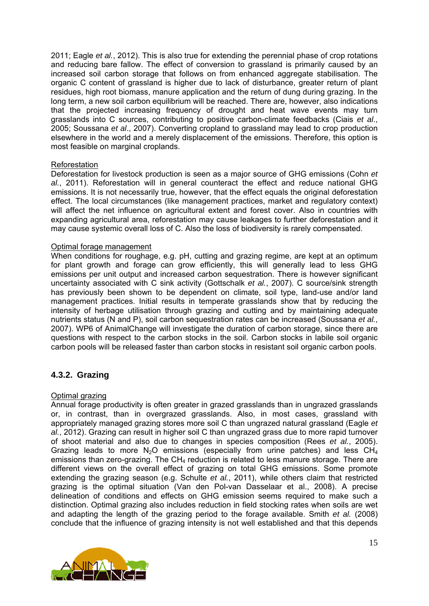2011; Eagle *et al.*, 2012). This is also true for extending the perennial phase of crop rotations and reducing bare fallow. The effect of conversion to grassland is primarily caused by an increased soil carbon storage that follows on from enhanced aggregate stabilisation. The organic C content of grassland is higher due to lack of disturbance, greater return of plant residues, high root biomass, manure application and the return of dung during grazing. In the long term, a new soil carbon equilibrium will be reached. There are, however, also indications that the projected increasing frequency of drought and heat wave events may turn grasslands into C sources, contributing to positive carbon-climate feedbacks (Ciais *et al*., 2005; Soussana *et al*., 2007). Converting cropland to grassland may lead to crop production elsewhere in the world and a merely displacement of the emissions. Therefore, this option is most feasible on marginal croplands.

#### Reforestation

Deforestation for livestock production is seen as a major source of GHG emissions (Cohn *et al.*, 2011). Reforestation will in general counteract the effect and reduce national GHG emissions. It is not necessarily true, however, that the effect equals the original deforestation effect. The local circumstances (like management practices, market and regulatory context) will affect the net influence on agricultural extent and forest cover. Also in countries with expanding agricultural area, reforestation may cause leakages to further deforestation and it may cause systemic overall loss of C. Also the loss of biodiversity is rarely compensated.

#### Optimal forage management

When conditions for roughage, e.g. pH, cutting and grazing regime, are kept at an optimum for plant growth and forage can grow efficiently, this will generally lead to less GHG emissions per unit output and increased carbon sequestration. There is however significant uncertainty associated with C sink activity (Gottschalk *et al.*, 2007). C source/sink strength has previously been shown to be dependent on climate, soil type, land-use and/or land management practices. Initial results in temperate grasslands show that by reducing the intensity of herbage utilisation through grazing and cutting and by maintaining adequate nutrients status (N and P), soil carbon sequestration rates can be increased (Soussana *et al.*, 2007). WP6 of AnimalChange will investigate the duration of carbon storage, since there are questions with respect to the carbon stocks in the soil. Carbon stocks in labile soil organic carbon pools will be released faster than carbon stocks in resistant soil organic carbon pools.

#### **4.3.2. Grazing**

#### Optimal grazing

Annual forage productivity is often greater in grazed grasslands than in ungrazed grasslands or, in contrast, than in overgrazed grasslands. Also, in most cases, grassland with appropriately managed grazing stores more soil C than ungrazed natural grassland (Eagle *et al.*, 2012). Grazing can result in higher soil C than ungrazed grass due to more rapid turnover of shoot material and also due to changes in species composition (Rees *et al.*, 2005). Grazing leads to more  $N_2O$  emissions (especially from urine patches) and less  $CH_4$ emissions than zero-grazing. The  $CH<sub>4</sub>$  reduction is related to less manure storage. There are different views on the overall effect of grazing on total GHG emissions. Some promote extending the grazing season (e.g. Schulte *et al.*, 2011), while others claim that restricted grazing is the optimal situation (Van den Pol-van Dasselaar et al., 2008). A precise delineation of conditions and effects on GHG emission seems required to make such a distinction. Optimal grazing also includes reduction in field stocking rates when soils are wet and adapting the length of the grazing period to the forage available. Smith *et al.* (2008) conclude that the influence of grazing intensity is not well established and that this depends

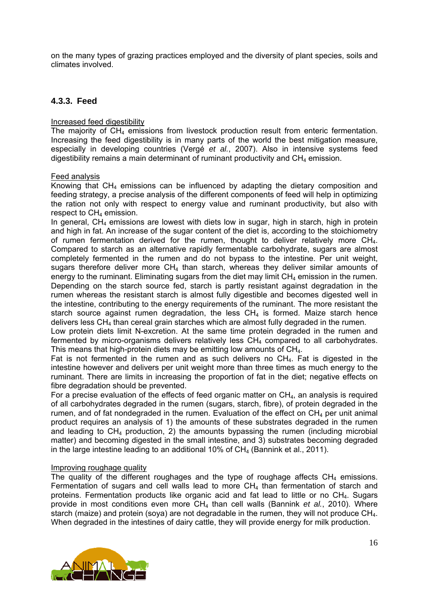on the many types of grazing practices employed and the diversity of plant species, soils and climates involved.

#### **4.3.3. Feed**

#### Increased feed digestibility

The majority of CH4 emissions from livestock production result from enteric fermentation. Increasing the feed digestibility is in many parts of the world the best mitigation measure, especially in developing countries (Vergé *et al.*, 2007). Also in intensive systems feed digestibility remains a main determinant of ruminant productivity and  $CH<sub>4</sub>$  emission.

#### Feed analysis

Knowing that  $CH<sub>4</sub>$  emissions can be influenced by adapting the dietary composition and feeding strategy, a precise analysis of the different components of feed will help in optimizing the ration not only with respect to energy value and ruminant productivity, but also with respect to  $CH<sub>4</sub>$  emission.

In general,  $CH<sub>4</sub>$  emissions are lowest with diets low in sugar, high in starch, high in protein and high in fat. An increase of the sugar content of the diet is, according to the stoichiometry of rumen fermentation derived for the rumen, thought to deliver relatively more  $CH<sub>4</sub>$ . Compared to starch as an alternative rapidly fermentable carbohydrate, sugars are almost completely fermented in the rumen and do not bypass to the intestine. Per unit weight, sugars therefore deliver more  $CH<sub>4</sub>$  than starch, whereas they deliver similar amounts of energy to the ruminant. Eliminating sugars from the diet may limit  $CH<sub>4</sub>$  emission in the rumen. Depending on the starch source fed, starch is partly resistant against degradation in the rumen whereas the resistant starch is almost fully digestible and becomes digested well in the intestine, contributing to the energy requirements of the ruminant. The more resistant the starch source against rumen degradation, the less  $CH<sub>4</sub>$  is formed. Maize starch hence delivers less CH4 than cereal grain starches which are almost fully degraded in the rumen.

Low protein diets limit N-excretion. At the same time protein degraded in the rumen and fermented by micro-organisms delivers relatively less  $CH<sub>4</sub>$  compared to all carbohydrates. This means that high-protein diets may be emitting low amounts of CH4.

Fat is not fermented in the rumen and as such delivers no  $CH<sub>4</sub>$ . Fat is digested in the intestine however and delivers per unit weight more than three times as much energy to the ruminant. There are limits in increasing the proportion of fat in the diet; negative effects on fibre degradation should be prevented.

For a precise evaluation of the effects of feed organic matter on  $CH<sub>4</sub>$ , an analysis is required of all carbohydrates degraded in the rumen (sugars, starch, fibre), of protein degraded in the rumen, and of fat nondegraded in the rumen. Evaluation of the effect on  $CH_4$  per unit animal product requires an analysis of 1) the amounts of these substrates degraded in the rumen and leading to  $CH_4$  production, 2) the amounts bypassing the rumen (including microbial matter) and becoming digested in the small intestine, and 3) substrates becoming degraded in the large intestine leading to an additional 10% of  $CH<sub>4</sub>$  (Bannink et al., 2011).

#### Improving roughage quality

The quality of the different roughages and the type of roughage affects  $CH<sub>4</sub>$  emissions. Fermentation of sugars and cell walls lead to more  $CH<sub>4</sub>$  than fermentation of starch and proteins. Fermentation products like organic acid and fat lead to little or no CH4. Sugars provide in most conditions even more CH4 than cell walls (Bannink *et al.*, 2010). Where starch (maize) and protein (sova) are not degradable in the rumen, they will not produce  $CH<sub>4</sub>$ . When degraded in the intestines of dairy cattle, they will provide energy for milk production.

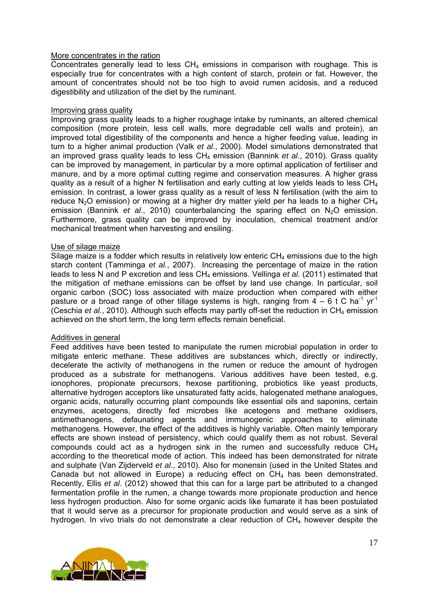#### More concentrates in the ration

Concentrates generally lead to less  $CH<sub>4</sub>$  emissions in comparison with roughage. This is especially true for concentrates with a high content of starch, protein or fat. However, the amount of concentrates should not be too high to avoid rumen acidosis, and a reduced digestibility and utilization of the diet by the ruminant.

#### Improving grass quality

Improving grass quality leads to a higher roughage intake by ruminants, an altered chemical composition (more protein, less cell walls, more degradable cell walls and protein), an improved total digestibility of the components and hence a higher feeding value, leading in turn to a higher animal production (Valk *et al*., 2000). Model simulations demonstrated that an improved grass quality leads to less CH<sub>4</sub> emission (Bannink *et al.*, 2010). Grass quality can be improved by management, in particular by a more optimal application of fertiliser and manure, and by a more optimal cutting regime and conservation measures. A higher grass quality as a result of a higher N fertilisation and early cutting at low yields leads to less CH4 emission. In contrast, a lower grass quality as a result of less N fertilisation (with the aim to reduce N<sub>2</sub>O emission) or mowing at a higher dry matter yield per ha leads to a higher CH<sub>4</sub> emission (Bannink *et al.*, 2010) counterbalancing the sparing effect on N<sub>2</sub>O emission. Furthermore, grass quality can be improved by inoculation, chemical treatment and/or mechanical treatment when harvesting and ensiling.

#### Use of silage maize

Silage maize is a fodder which results in relatively low enteric  $CH_4$  emissions due to the high starch content (Tamminga *et al.*, 2007). Increasing the percentage of maize in the ration leads to less N and P excretion and less CH<sub>4</sub> emissions. Vellinga *et al.* (2011) estimated that the mitigation of methane emissions can be offset by land use change. In particular, soil organic carbon (SOC) loss associated with maize production when compared with either pasture or a broad range of other tillage systems is high, ranging from  $4 - 6$  t C ha<sup>-1</sup> yr<sup>-1</sup> (Ceschia *et al.*, 2010). Although such effects may partly off-set the reduction in CH<sub>4</sub> emission achieved on the short term, the long term effects remain beneficial.

#### Additives in general

Feed additives have been tested to manipulate the rumen microbial population in order to mitigate enteric methane. These additives are substances which, directly or indirectly, decelerate the activity of methanogens in the rumen or reduce the amount of hydrogen produced as a substrate for methanogens. Various additives have been tested, e.g. ionophores, propionate precursors, hexose partitioning, probiotics like yeast products, alternative hydrogen acceptors like unsaturated fatty acids, halogenated methane analogues, organic acids, naturally occurring plant compounds like essential oils and saponins, certain enzymes, acetogens, directly fed microbes like acetogens and methane oxidisers, antimethanogens, defaunating agents and immunogenic approaches to eliminate methanogens. However, the effect of the additives is highly variable. Often mainly temporary effects are shown instead of persistency, which could qualify them as not robust. Several compounds could act as a hydrogen sink in the rumen and successfully reduce  $CH<sub>4</sub>$ according to the theoretical mode of action. This indeed has been demonstrated for nitrate and sulphate (Van Zijderveld *et al*., 2010). Also for monensin (used in the United States and Canada but not allowed in Europe) a reducing effect on  $CH<sub>4</sub>$  has been demonstrated. Recently, Ellis *et al*. (2012) showed that this can for a large part be attributed to a changed fermentation profile in the rumen, a change towards more propionate production and hence less hydrogen production. Also for some organic acids like fumarate it has been postulated that it would serve as a precursor for propionate production and would serve as a sink of hydrogen. In vivo trials do not demonstrate a clear reduction of  $CH<sub>4</sub>$  however despite the

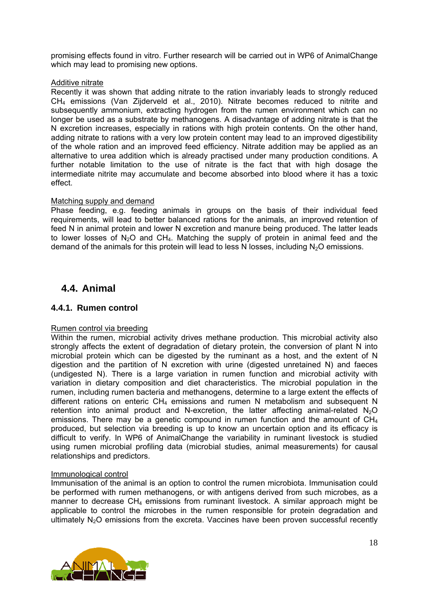promising effects found in vitro. Further research will be carried out in WP6 of AnimalChange which may lead to promising new options.

#### Additive nitrate

Recently it was shown that adding nitrate to the ration invariably leads to strongly reduced CH4 emissions (Van Zijderveld et al., 2010). Nitrate becomes reduced to nitrite and subsequently ammonium, extracting hydrogen from the rumen environment which can no longer be used as a substrate by methanogens. A disadvantage of adding nitrate is that the N excretion increases, especially in rations with high protein contents. On the other hand, adding nitrate to rations with a very low protein content may lead to an improved digestibility of the whole ration and an improved feed efficiency. Nitrate addition may be applied as an alternative to urea addition which is already practised under many production conditions. A further notable limitation to the use of nitrate is the fact that with high dosage the intermediate nitrite may accumulate and become absorbed into blood where it has a toxic effect.

#### Matching supply and demand

Phase feeding, e.g. feeding animals in groups on the basis of their individual feed requirements, will lead to better balanced rations for the animals, an improved retention of feed N in animal protein and lower N excretion and manure being produced. The latter leads to lower losses of  $N_2O$  and  $CH_4$ . Matching the supply of protein in animal feed and the demand of the animals for this protein will lead to less N losses, including  $N<sub>2</sub>O$  emissions.

## **4.4. Animal**

#### **4.4.1. Rumen control**

#### Rumen control via breeding

Within the rumen, microbial activity drives methane production. This microbial activity also strongly affects the extent of degradation of dietary protein, the conversion of plant N into microbial protein which can be digested by the ruminant as a host, and the extent of N digestion and the partition of N excretion with urine (digested unretained N) and faeces (undigested N). There is a large variation in rumen function and microbial activity with variation in dietary composition and diet characteristics. The microbial population in the rumen, including rumen bacteria and methanogens, determine to a large extent the effects of different rations on enteric  $CH_4$  emissions and rumen N metabolism and subsequent N retention into animal product and N-excretion, the latter affecting animal-related  $N_2O$ emissions. There may be a genetic compound in rumen function and the amount of CH<sub>4</sub> produced, but selection via breeding is up to know an uncertain option and its efficacy is difficult to verify. In WP6 of AnimalChange the variability in ruminant livestock is studied using rumen microbial profiling data (microbial studies, animal measurements) for causal relationships and predictors.

#### Immunological control

Immunisation of the animal is an option to control the rumen microbiota. Immunisation could be performed with rumen methanogens, or with antigens derived from such microbes, as a manner to decrease  $CH<sub>4</sub>$  emissions from ruminant livestock. A similar approach might be applicable to control the microbes in the rumen responsible for protein degradation and ultimately  $N_2O$  emissions from the excreta. Vaccines have been proven successful recently

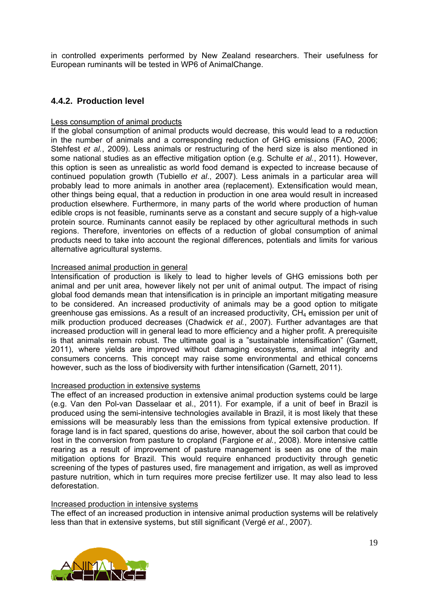in controlled experiments performed by New Zealand researchers. Their usefulness for European ruminants will be tested in WP6 of AnimalChange.

#### **4.4.2. Production level**

#### Less consumption of animal products

If the global consumption of animal products would decrease, this would lead to a reduction in the number of animals and a corresponding reduction of GHG emissions (FAO, 2006; Stehfest *et al.*, 2009). Less animals or restructuring of the herd size is also mentioned in some national studies as an effective mitigation option (e.g. Schulte *et al.*, 2011). However, this option is seen as unrealistic as world food demand is expected to increase because of continued population growth (Tubiello *et al*., 2007). Less animals in a particular area will probably lead to more animals in another area (replacement). Extensification would mean, other things being equal, that a reduction in production in one area would result in increased production elsewhere. Furthermore, in many parts of the world where production of human edible crops is not feasible, ruminants serve as a constant and secure supply of a high-value protein source. Ruminants cannot easily be replaced by other agricultural methods in such regions. Therefore, inventories on effects of a reduction of global consumption of animal products need to take into account the regional differences, potentials and limits for various alternative agricultural systems.

#### Increased animal production in general

Intensification of production is likely to lead to higher levels of GHG emissions both per animal and per unit area, however likely not per unit of animal output. The impact of rising global food demands mean that intensification is in principle an important mitigating measure to be considered. An increased productivity of animals may be a good option to mitigate greenhouse gas emissions. As a result of an increased productivity,  $CH<sub>4</sub>$  emission per unit of milk production produced decreases (Chadwick *et al.*, 2007). Further advantages are that increased production will in general lead to more efficiency and a higher profit. A prerequisite is that animals remain robust. The ultimate goal is a "sustainable intensification" (Garnett, 2011), where yields are improved without damaging ecosystems, animal integrity and consumers concerns. This concept may raise some environmental and ethical concerns however, such as the loss of biodiversity with further intensification (Garnett, 2011).

#### Increased production in extensive systems

The effect of an increased production in extensive animal production systems could be large (e.g. Van den Pol-van Dasselaar et al., 2011). For example, if a unit of beef in Brazil is produced using the semi-intensive technologies available in Brazil, it is most likely that these emissions will be measurably less than the emissions from typical extensive production. If forage land is in fact spared, questions do arise, however, about the soil carbon that could be lost in the conversion from pasture to cropland (Fargione *et al.*, 2008). More intensive cattle rearing as a result of improvement of pasture management is seen as one of the main mitigation options for Brazil. This would require enhanced productivity through genetic screening of the types of pastures used, fire management and irrigation, as well as improved pasture nutrition, which in turn requires more precise fertilizer use. It may also lead to less deforestation.

#### Increased production in intensive systems

The effect of an increased production in intensive animal production systems will be relatively less than that in extensive systems, but still significant (Vergé *et al.*, 2007).

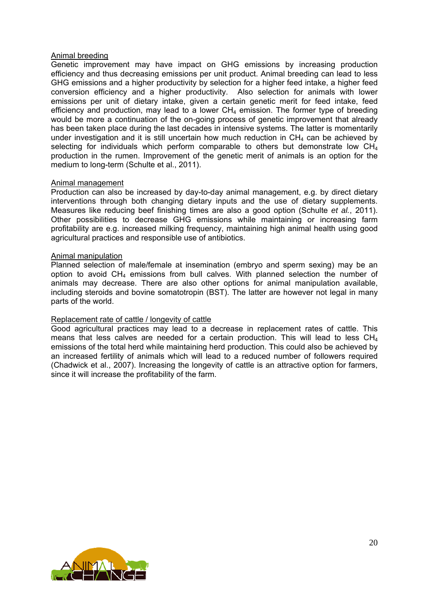#### Animal breeding

Genetic improvement may have impact on GHG emissions by increasing production efficiency and thus decreasing emissions per unit product. Animal breeding can lead to less GHG emissions and a higher productivity by selection for a higher feed intake, a higher feed conversion efficiency and a higher productivity. Also selection for animals with lower emissions per unit of dietary intake, given a certain genetic merit for feed intake, feed efficiency and production, may lead to a lower  $CH<sub>4</sub>$  emission. The former type of breeding would be more a continuation of the on-going process of genetic improvement that already has been taken place during the last decades in intensive systems. The latter is momentarily under investigation and it is still uncertain how much reduction in  $CH<sub>4</sub>$  can be achieved by selecting for individuals which perform comparable to others but demonstrate low  $CH<sub>4</sub>$ production in the rumen. Improvement of the genetic merit of animals is an option for the medium to long-term (Schulte et al., 2011).

#### Animal management

Production can also be increased by day-to-day animal management, e.g. by direct dietary interventions through both changing dietary inputs and the use of dietary supplements. Measures like reducing beef finishing times are also a good option (Schulte *et al.*, 2011). Other possibilities to decrease GHG emissions while maintaining or increasing farm profitability are e.g. increased milking frequency, maintaining high animal health using good agricultural practices and responsible use of antibiotics.

#### Animal manipulation

Planned selection of male/female at insemination (embryo and sperm sexing) may be an option to avoid  $CH<sub>4</sub>$  emissions from bull calves. With planned selection the number of animals may decrease. There are also other options for animal manipulation available, including steroids and bovine somatotropin (BST). The latter are however not legal in many parts of the world.

#### Replacement rate of cattle / longevity of cattle

Good agricultural practices may lead to a decrease in replacement rates of cattle. This means that less calves are needed for a certain production. This will lead to less  $CH<sub>4</sub>$ emissions of the total herd while maintaining herd production. This could also be achieved by an increased fertility of animals which will lead to a reduced number of followers required (Chadwick et al., 2007). Increasing the longevity of cattle is an attractive option for farmers, since it will increase the profitability of the farm.

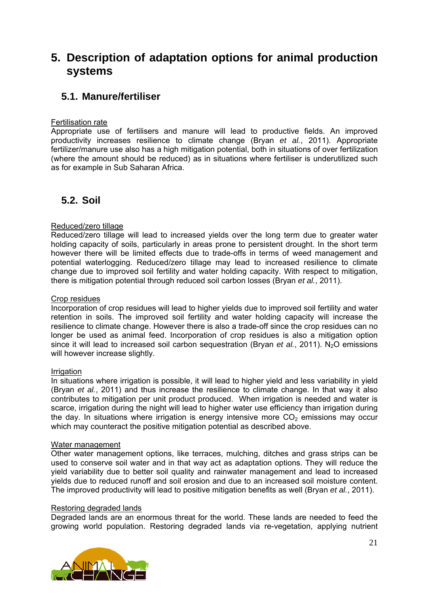# **5. Description of adaptation options for animal production systems**

## **5.1. Manure/fertiliser**

#### Fertilisation rate

Appropriate use of fertilisers and manure will lead to productive fields. An improved productivity increases resilience to climate change (Bryan *et al.*, 2011). Appropriate fertilizer/manure use also has a high mitigation potential, both in situations of over fertilization (where the amount should be reduced) as in situations where fertiliser is underutilized such as for example in Sub Saharan Africa.

## **5.2. Soil**

#### Reduced/zero tillage

Reduced/zero tillage will lead to increased yields over the long term due to greater water holding capacity of soils, particularly in areas prone to persistent drought. In the short term however there will be limited effects due to trade-offs in terms of weed management and potential waterlogging. Reduced/zero tillage may lead to increased resilience to climate change due to improved soil fertility and water holding capacity. With respect to mitigation, there is mitigation potential through reduced soil carbon losses (Bryan *et al.*, 2011).

#### Crop residues

Incorporation of crop residues will lead to higher yields due to improved soil fertility and water retention in soils. The improved soil fertility and water holding capacity will increase the resilience to climate change. However there is also a trade-off since the crop residues can no longer be used as animal feed. Incorporation of crop residues is also a mitigation option since it will lead to increased soil carbon sequestration (Bryan *et al.*, 2011). N<sub>2</sub>O emissions will however increase slightly.

#### Irrigation

In situations where irrigation is possible, it will lead to higher yield and less variability in yield (Bryan *et al.*, 2011) and thus increase the resilience to climate change. In that way it also contributes to mitigation per unit product produced. When irrigation is needed and water is scarce, irrigation during the night will lead to higher water use efficiency than irrigation during the day. In situations where irrigation is energy intensive more  $CO<sub>2</sub>$  emissions may occur which may counteract the positive mitigation potential as described above.

#### Water management

Other water management options, like terraces, mulching, ditches and grass strips can be used to conserve soil water and in that way act as adaptation options. They will reduce the yield variability due to better soil quality and rainwater management and lead to increased yields due to reduced runoff and soil erosion and due to an increased soil moisture content. The improved productivity will lead to positive mitigation benefits as well (Bryan *et al.*, 2011).

#### Restoring degraded lands

Degraded lands are an enormous threat for the world. These lands are needed to feed the growing world population. Restoring degraded lands via re-vegetation, applying nutrient

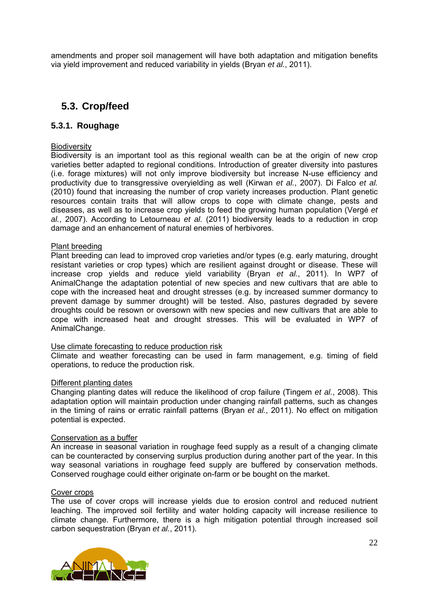amendments and proper soil management will have both adaptation and mitigation benefits via yield improvement and reduced variability in yields (Bryan *et al.*, 2011).

## **5.3. Crop/feed**

#### **5.3.1. Roughage**

#### **Biodiversity**

Biodiversity is an important tool as this regional wealth can be at the origin of new crop varieties better adapted to regional conditions. Introduction of greater diversity into pastures (i.e. forage mixtures) will not only improve biodiversity but increase N-use efficiency and productivity due to transgressive overyielding as well (Kirwan *et al.*, 2007). Di Falco *et al.* (2010) found that increasing the number of crop variety increases production. Plant genetic resources contain traits that will allow crops to cope with climate change, pests and diseases, as well as to increase crop yields to feed the growing human population (Vergé *et al.*, 2007). According to Letourneau *et al.* (2011) biodiversity leads to a reduction in crop damage and an enhancement of natural enemies of herbivores.

#### Plant breeding

Plant breeding can lead to improved crop varieties and/or types (e.g. early maturing, drought resistant varieties or crop types) which are resilient against drought or disease. These will increase crop yields and reduce yield variability (Bryan *et al.*, 2011). In WP7 of AnimalChange the adaptation potential of new species and new cultivars that are able to cope with the increased heat and drought stresses (e.g. by increased summer dormancy to prevent damage by summer drought) will be tested. Also, pastures degraded by severe droughts could be resown or oversown with new species and new cultivars that are able to cope with increased heat and drought stresses. This will be evaluated in WP7 of AnimalChange.

#### Use climate forecasting to reduce production risk

Climate and weather forecasting can be used in farm management, e.g. timing of field operations, to reduce the production risk.

#### Different planting dates

Changing planting dates will reduce the likelihood of crop failure (Tingem *et al.*, 2008). This adaptation option will maintain production under changing rainfall patterns, such as changes in the timing of rains or erratic rainfall patterns (Bryan *et al.*, 2011). No effect on mitigation potential is expected.

#### Conservation as a buffer

An increase in seasonal variation in roughage feed supply as a result of a changing climate can be counteracted by conserving surplus production during another part of the year. In this way seasonal variations in roughage feed supply are buffered by conservation methods. Conserved roughage could either originate on-farm or be bought on the market.

#### Cover crops

The use of cover crops will increase yields due to erosion control and reduced nutrient leaching. The improved soil fertility and water holding capacity will increase resilience to climate change. Furthermore, there is a high mitigation potential through increased soil carbon sequestration (Bryan *et al.*, 2011).

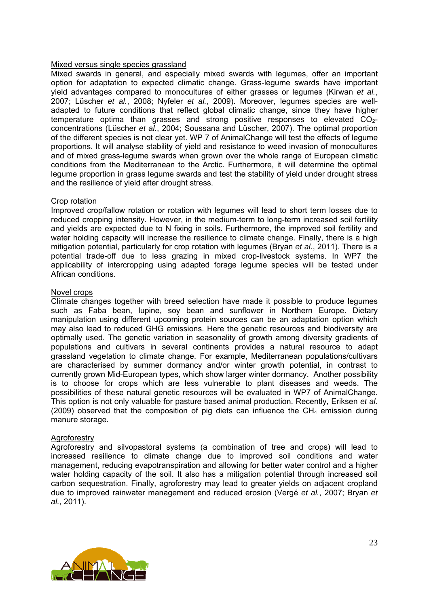#### Mixed versus single species grassland

Mixed swards in general, and especially mixed swards with legumes, offer an important option for adaptation to expected climatic change. Grass-legume swards have important yield advantages compared to monocultures of either grasses or legumes (Kirwan *et al.*, 2007; Lüscher *et al.*, 2008; Nyfeler *et al.*, 2009). Moreover, legumes species are welladapted to future conditions that reflect global climatic change, since they have higher temperature optima than grasses and strong positive responses to elevated  $CO<sub>2</sub>$ concentrations (Lüscher *et al.*, 2004; Soussana and Lüscher, 2007). The optimal proportion of the different species is not clear yet. WP 7 of AnimalChange will test the effects of legume proportions. It will analyse stability of yield and resistance to weed invasion of monocultures and of mixed grass-legume swards when grown over the whole range of European climatic conditions from the Mediterranean to the Arctic. Furthermore, it will determine the optimal legume proportion in grass legume swards and test the stability of yield under drought stress and the resilience of yield after drought stress.

#### Crop rotation

Improved crop/fallow rotation or rotation with legumes will lead to short term losses due to reduced cropping intensity. However, in the medium-term to long-term increased soil fertility and yields are expected due to N fixing in soils. Furthermore, the improved soil fertility and water holding capacity will increase the resilience to climate change. Finally, there is a high mitigation potential, particularly for crop rotation with legumes (Bryan *et al.*, 2011). There is a potential trade-off due to less grazing in mixed crop-livestock systems. In WP7 the applicability of intercropping using adapted forage legume species will be tested under African conditions.

#### Novel crops

Climate changes together with breed selection have made it possible to produce legumes such as Faba bean, lupine, soy bean and sunflower in Northern Europe. Dietary manipulation using different upcoming protein sources can be an adaptation option which may also lead to reduced GHG emissions. Here the genetic resources and biodiversity are optimally used. The genetic variation in seasonality of growth among diversity gradients of populations and cultivars in several continents provides a natural resource to adapt grassland vegetation to climate change. For example, Mediterranean populations/cultivars are characterised by summer dormancy and/or winter growth potential, in contrast to currently grown Mid-European types, which show larger winter dormancy. Another possibility is to choose for crops which are less vulnerable to plant diseases and weeds. The possibilities of these natural genetic resources will be evaluated in WP7 of AnimalChange. This option is not only valuable for pasture based animal production. Recently, Eriksen *et al.* (2009) observed that the composition of pig diets can influence the  $CH<sub>4</sub>$  emission during manure storage.

#### **Agroforestry**

Agroforestry and silvopastoral systems (a combination of tree and crops) will lead to increased resilience to climate change due to improved soil conditions and water management, reducing evapotranspiration and allowing for better water control and a higher water holding capacity of the soil. It also has a mitigation potential through increased soil carbon sequestration. Finally, agroforestry may lead to greater yields on adjacent cropland due to improved rainwater management and reduced erosion (Vergé *et al.*, 2007; Bryan *et al.*, 2011).

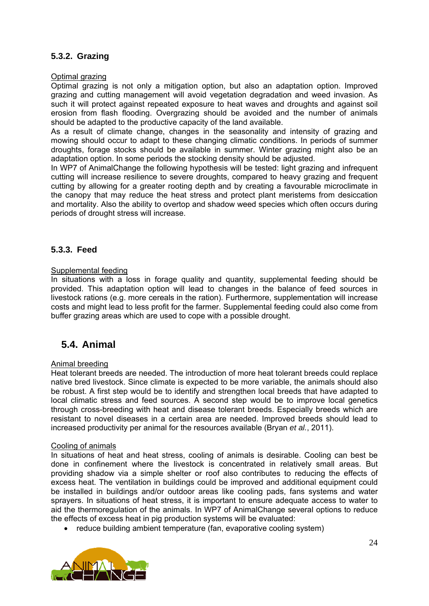## **5.3.2. Grazing**

Optimal grazing

Optimal grazing is not only a mitigation option, but also an adaptation option. Improved grazing and cutting management will avoid vegetation degradation and weed invasion. As such it will protect against repeated exposure to heat waves and droughts and against soil erosion from flash flooding. Overgrazing should be avoided and the number of animals should be adapted to the productive capacity of the land available.

As a result of climate change, changes in the seasonality and intensity of grazing and mowing should occur to adapt to these changing climatic conditions. In periods of summer droughts, forage stocks should be available in summer. Winter grazing might also be an adaptation option. In some periods the stocking density should be adjusted.

In WP7 of AnimalChange the following hypothesis will be tested: light grazing and infrequent cutting will increase resilience to severe droughts, compared to heavy grazing and frequent cutting by allowing for a greater rooting depth and by creating a favourable microclimate in the canopy that may reduce the heat stress and protect plant meristems from desiccation and mortality. Also the ability to overtop and shadow weed species which often occurs during periods of drought stress will increase.

#### **5.3.3. Feed**

#### Supplemental feeding

In situations with a loss in forage quality and quantity, supplemental feeding should be provided. This adaptation option will lead to changes in the balance of feed sources in livestock rations (e.g. more cereals in the ration). Furthermore, supplementation will increase costs and might lead to less profit for the farmer. Supplemental feeding could also come from buffer grazing areas which are used to cope with a possible drought.

## **5.4. Animal**

#### Animal breeding

Heat tolerant breeds are needed. The introduction of more heat tolerant breeds could replace native bred livestock. Since climate is expected to be more variable, the animals should also be robust. A first step would be to identify and strengthen local breeds that have adapted to local climatic stress and feed sources. A second step would be to improve local genetics through cross-breeding with heat and disease tolerant breeds. Especially breeds which are resistant to novel diseases in a certain area are needed. Improved breeds should lead to increased productivity per animal for the resources available (Bryan *et al.*, 2011).

#### Cooling of animals

In situations of heat and heat stress, cooling of animals is desirable. Cooling can best be done in confinement where the livestock is concentrated in relatively small areas. But providing shadow via a simple shelter or roof also contributes to reducing the effects of excess heat. The ventilation in buildings could be improved and additional equipment could be installed in buildings and/or outdoor areas like cooling pads, fans systems and water sprayers. In situations of heat stress, it is important to ensure adequate access to water to aid the thermoregulation of the animals. In WP7 of AnimalChange several options to reduce the effects of excess heat in pig production systems will be evaluated:

• reduce building ambient temperature (fan, evaporative cooling system)

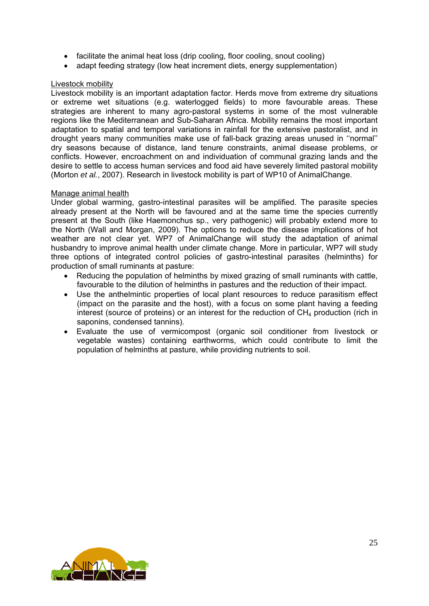- facilitate the animal heat loss (drip cooling, floor cooling, snout cooling)
- adapt feeding strategy (low heat increment diets, energy supplementation)

#### Livestock mobility

Livestock mobility is an important adaptation factor. Herds move from extreme dry situations or extreme wet situations (e.g. waterlogged fields) to more favourable areas. These strategies are inherent to many agro-pastoral systems in some of the most vulnerable regions like the Mediterranean and Sub-Saharan Africa. Mobility remains the most important adaptation to spatial and temporal variations in rainfall for the extensive pastoralist, and in drought years many communities make use of fall-back grazing areas unused in ''normal'' dry seasons because of distance, land tenure constraints, animal disease problems, or conflicts. However, encroachment on and individuation of communal grazing lands and the desire to settle to access human services and food aid have severely limited pastoral mobility (Morton *et al.*, 2007). Research in livestock mobility is part of WP10 of AnimalChange.

#### Manage animal health

Under global warming, gastro-intestinal parasites will be amplified. The parasite species already present at the North will be favoured and at the same time the species currently present at the South (like Haemonchus sp., very pathogenic) will probably extend more to the North (Wall and Morgan, 2009). The options to reduce the disease implications of hot weather are not clear yet. WP7 of AnimalChange will study the adaptation of animal husbandry to improve animal health under climate change. More in particular, WP7 will study three options of integrated control policies of gastro-intestinal parasites (helminths) for production of small ruminants at pasture:

- Reducing the population of helminths by mixed grazing of small ruminants with cattle, favourable to the dilution of helminths in pastures and the reduction of their impact.
- Use the anthelmintic properties of local plant resources to reduce parasitism effect (impact on the parasite and the host), with a focus on some plant having a feeding interest (source of proteins) or an interest for the reduction of  $CH<sub>4</sub>$  production (rich in saponins, condensed tannins).
- Evaluate the use of vermicompost (organic soil conditioner from livestock or vegetable wastes) containing earthworms, which could contribute to limit the population of helminths at pasture, while providing nutrients to soil.

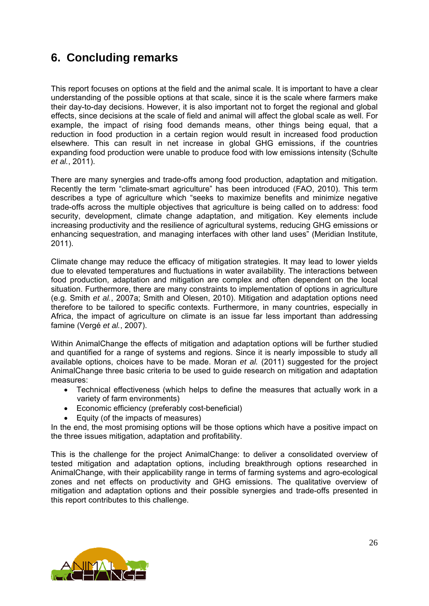# **6. Concluding remarks**

This report focuses on options at the field and the animal scale. It is important to have a clear understanding of the possible options at that scale, since it is the scale where farmers make their day-to-day decisions. However, it is also important not to forget the regional and global effects, since decisions at the scale of field and animal will affect the global scale as well. For example, the impact of rising food demands means, other things being equal, that a reduction in food production in a certain region would result in increased food production elsewhere. This can result in net increase in global GHG emissions, if the countries expanding food production were unable to produce food with low emissions intensity (Schulte *et al.*, 2011).

There are many synergies and trade-offs among food production, adaptation and mitigation. Recently the term "climate-smart agriculture" has been introduced (FAO, 2010). This term describes a type of agriculture which "seeks to maximize benefits and minimize negative trade-offs across the multiple objectives that agriculture is being called on to address: food security, development, climate change adaptation, and mitigation. Key elements include increasing productivity and the resilience of agricultural systems, reducing GHG emissions or enhancing sequestration, and managing interfaces with other land uses" (Meridian Institute, 2011).

Climate change may reduce the efficacy of mitigation strategies. It may lead to lower yields due to elevated temperatures and fluctuations in water availability. The interactions between food production, adaptation and mitigation are complex and often dependent on the local situation. Furthermore, there are many constraints to implementation of options in agriculture (e.g. Smith *et al.*, 2007a; Smith and Olesen, 2010). Mitigation and adaptation options need therefore to be tailored to specific contexts. Furthermore, in many countries, especially in Africa, the impact of agriculture on climate is an issue far less important than addressing famine (Vergé *et al.*, 2007).

Within AnimalChange the effects of mitigation and adaptation options will be further studied and quantified for a range of systems and regions. Since it is nearly impossible to study all available options, choices have to be made. Moran *et al.* (2011) suggested for the project AnimalChange three basic criteria to be used to guide research on mitigation and adaptation measures:

- Technical effectiveness (which helps to define the measures that actually work in a variety of farm environments)
- Economic efficiency (preferably cost-beneficial)
- Equity (of the impacts of measures)

In the end, the most promising options will be those options which have a positive impact on the three issues mitigation, adaptation and profitability.

This is the challenge for the project AnimalChange: to deliver a consolidated overview of tested mitigation and adaptation options, including breakthrough options researched in AnimalChange, with their applicability range in terms of farming systems and agro-ecological zones and net effects on productivity and GHG emissions. The qualitative overview of mitigation and adaptation options and their possible synergies and trade-offs presented in this report contributes to this challenge.

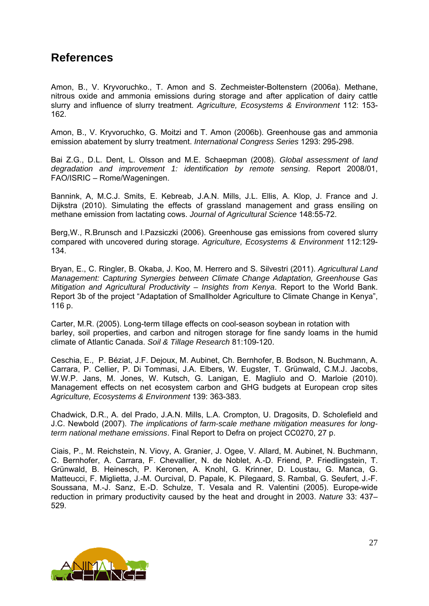# **References**

Amon, B., V. Kryvoruchko., T. Amon and S. Zechmeister-Boltenstern (2006a). Methane, nitrous oxide and ammonia emissions during storage and after application of dairy cattle slurry and influence of slurry treatment. *Agriculture, Ecosystems & Environment* 112: 153- 162.

Amon, B., V. Kryvoruchko, G. Moitzi and T. Amon (2006b). Greenhouse gas and ammonia emission abatement by slurry treatment. *International Congress Series* 1293: 295-298.

Bai Z.G., D.L. Dent, L. Olsson and M.E. Schaepman (2008). *Global assessment of land degradation and improvement 1: identification by remote sensing*. Report 2008/01, FAO/ISRIC – Rome/Wageningen.

Bannink, A, M.C.J. Smits, E. Kebreab, J.A.N. Mills, J.L. Ellis, A. Klop, J. France and J. Dijkstra (2010). Simulating the effects of grassland management and grass ensiling on methane emission from lactating cows. *Journal of Agricultural Science* 148:55-72.

Berg,W., R.Brunsch and I.Pazsiczki (2006). Greenhouse gas emissions from covered slurry compared with uncovered during storage. *Agriculture, Ecosystems & Environment* 112:129- 134.

Bryan, E., C. Ringler, B. Okaba, J. Koo, M. Herrero and S. Silvestri (2011). *Agricultural Land Management: Capturing Synergies between Climate Change Adaptation, Greenhouse Gas Mitigation and Agricultural Productivity – Insights from Kenya*. Report to the World Bank. Report 3b of the project "Adaptation of Smallholder Agriculture to Climate Change in Kenya", 116 p.

Carter, M.R. (2005). Long-term tillage effects on cool-season soybean in rotation with barley, soil properties, and carbon and nitrogen storage for fine sandy loams in the humid climate of Atlantic Canada. *Soil & Tillage Research* 81:109-120.

Ceschia, E., P. Béziat, J.F. Dejoux, M. Aubinet, Ch. Bernhofer, B. Bodson, N. Buchmann, A. Carrara, P. Cellier, P. Di Tommasi, J.A. Elbers, W. Eugster, T. Grünwald, C.M.J. Jacobs, W.W.P. Jans, M. Jones, W. Kutsch, G. Lanigan, E. Magliulo and O. Marloie (2010). Management effects on net ecosystem carbon and GHG budgets at European crop sites *Agriculture, Ecosystems & Environment* 139: 363-383.

Chadwick, D.R., A. del Prado, J.A.N. Mills, L.A. Crompton, U. Dragosits, D. Scholefield and J.C. Newbold (2007). *The implications of farm-scale methane mitigation measures for longterm national methane emissions*. Final Report to Defra on project CC0270, 27 p.

Ciais, P., M. Reichstein, N. Viovy, A. Granier, J. Ogee, V. Allard, M. Aubinet, N. Buchmann, C. Bernhofer, A. Carrara, F. Chevallier, N. de Noblet, A.-D. Friend, P. Friedlingstein, T. Grünwald, B. Heinesch, P. Keronen, A. Knohl, G. Krinner, D. Loustau, G. Manca, G. Matteucci, F. Miglietta, J.-M. Ourcival, D. Papale, K. Pilegaard, S. Rambal, G. Seufert, J.-F. Soussana, M.-J. Sanz, E.-D. Schulze, T. Vesala and R. Valentini (2005). Europe-wide reduction in primary productivity caused by the heat and drought in 2003. *Nature* 33: 437– 529.

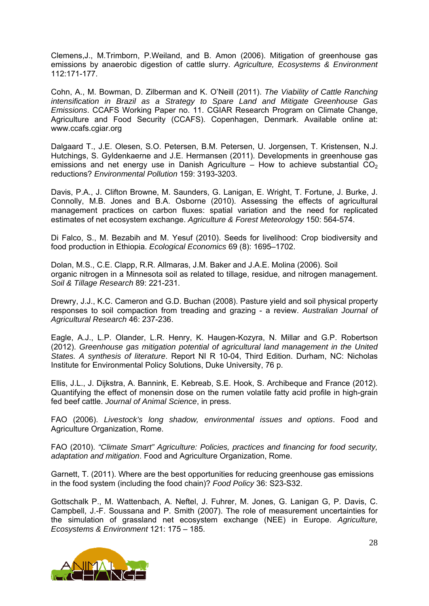Clemens,J., M.Trimborn, P.Weiland, and B. Amon (2006). Mitigation of greenhouse gas emissions by anaerobic digestion of cattle slurry. *Agriculture, Ecosystems & Environment* 112:171-177.

Cohn, A., M. Bowman, D. Zilberman and K. O'Neill (2011). *The Viability of Cattle Ranching intensification in Brazil as a Strategy to Spare Land and Mitigate Greenhouse Gas Emissions*. CCAFS Working Paper no. 11. CGIAR Research Program on Climate Change, Agriculture and Food Security (CCAFS). Copenhagen, Denmark. Available online at: www.ccafs.cgiar.org

Dalgaard T., J.E. Olesen, S.O. Petersen, B.M. Petersen, U. Jorgensen, T. Kristensen, N.J. Hutchings, S. Gyldenkaerne and J.E. Hermansen (2011). Developments in greenhouse gas emissions and net energy use in Danish Agriculture – How to achieve substantial  $CO<sub>2</sub>$ reductions? *Environmental Pollution* 159: 3193-3203.

Davis, P.A., J. Clifton Browne, M. Saunders, G. Lanigan, E. Wright, T. Fortune, J. Burke, J. Connolly, M.B. Jones and B.A. Osborne (2010). Assessing the effects of agricultural management practices on carbon fluxes: spatial variation and the need for replicated estimates of net ecosystem exchange. *Agriculture & Forest Meteorology* 150: 564-574.

Di Falco, S., M. Bezabih and M. Yesuf (2010). Seeds for livelihood: Crop biodiversity and food production in Ethiopia. *Ecological Economics* 69 (8): 1695–1702.

Dolan, M.S., C.E. Clapp, R.R. Allmaras, J.M. Baker and J.A.E. Molina (2006). Soil organic nitrogen in a Minnesota soil as related to tillage, residue, and nitrogen management. *Soil & Tillage Research* 89: 221-231.

Drewry, J.J., K.C. Cameron and G.D. Buchan (2008). Pasture yield and soil physical property responses to soil compaction from treading and grazing - a review. *Australian Journal of Agricultural Research* 46: 237-236.

Eagle, A.J., L.P. Olander, L.R. Henry, K. Haugen-Kozyra, N. Millar and G.P. Robertson (2012). *Greenhouse gas mitigation potential of agricultural land management in the United States. A synthesis of literature*. Report NI R 10-04, Third Edition. Durham, NC: Nicholas Institute for Environmental Policy Solutions, Duke University, 76 p.

Ellis, J.L., J. Dijkstra, A. Bannink, E. Kebreab, S.E. Hook, S. Archibeque and France (2012). Quantifying the effect of monensin dose on the rumen volatile fatty acid profile in high-grain fed beef cattle. *Journal of Animal Science*, in press.

FAO (2006). *Livestock's long shadow, environmental issues and options*. Food and Agriculture Organization, Rome.

FAO (2010). *"Climate Smart" Agriculture: Policies, practices and financing for food security, adaptation and mitigation*. Food and Agriculture Organization, Rome.

Garnett, T. (2011). Where are the best opportunities for reducing greenhouse gas emissions in the food system (including the food chain)? *Food Policy* 36: S23-S32.

Gottschalk P., M. Wattenbach, A. Neftel, J. Fuhrer, M. Jones, G. Lanigan G, P. Davis, C. Campbell, J.-F. Soussana and P. Smith (2007). The role of measurement uncertainties for the simulation of grassland net ecosystem exchange (NEE) in Europe. *Agriculture, Ecosystems & Environment* 121: 175 – 185.

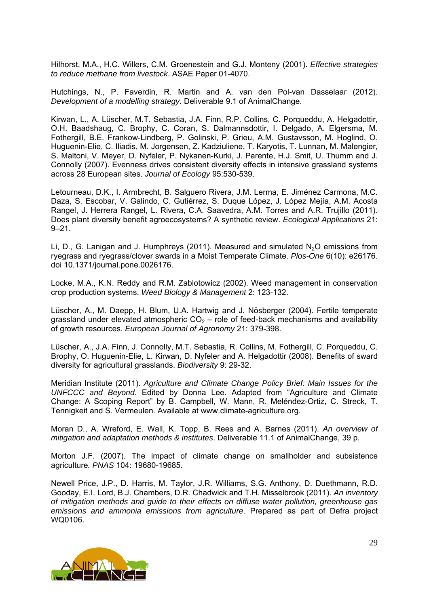Hilhorst, M.A., H.C. Willers, C.M. Groenestein and G.J. Monteny (2001). *Effective strategies to reduce methane from livestock*. ASAE Paper 01-4070.

Hutchings, N., P. Faverdin, R. Martin and A. van den Pol-van Dasselaar (2012). *Development of a modelling strategy*. Deliverable 9.1 of AnimalChange.

Kirwan, L., A. Lüscher, M.T. Sebastia, J.A. Finn, R.P. Collins, C. Porqueddu, A. Helgadottir, O.H. Baadshaug, C. Brophy, C. Coran, S. Dalmannsdottir, I. Delgado, A. Elgersma, M. Fothergill, B.E. Frankow-Lindberg, P. Golinski, P. Grieu, A.M. Gustavsson, M. Hoglind, O. Huguenin-Elie, C. Iliadis, M. Jorgensen, Z. Kadziuliene, T. Karyotis, T. Lunnan, M. Malengier, S. Maltoni, V. Meyer, D. Nyfeler, P. Nykanen-Kurki, J. Parente, H.J. Smit, U. Thumm and J. Connolly (2007). Evenness drives consistent diversity effects in intensive grassland systems across 28 European sites. *Journal of Ecology* 95:530-539.

Letourneau, D.K., I. Armbrecht, B. Salguero Rivera, J.M. Lerma, E. Jiménez Carmona, M.C. Daza, S. Escobar, V. Galindo, C. Gutiérrez, S. Duque López, J. López Mejía, A.M. Acosta Rangel, J. Herrera Rangel, L. Rivera, C.A. Saavedra, A.M. Torres and A.R. Trujillo (2011). Does plant diversity benefit agroecosystems? A synthetic review. *Ecological Applications* 21:  $9 - 21$ .

Li, D., G. Lanigan and J. Humphreys (2011). Measured and simulated  $N<sub>2</sub>O$  emissions from ryegrass and ryegrass/clover swards in a Moist Temperate Climate. *Plos-One* 6(10): e26176. doi 10.1371/journal.pone.0026176.

Locke, M.A., K.N. Reddy and R.M. Zablotowicz (2002). Weed management in conservation crop production systems. *Weed Biology & Management* 2: 123-132.

Lüscher, A., M. Daepp, H. Blum, U.A. Hartwig and J. Nösberger (2004). Fertile temperate grassland under elevated atmospheric  $CO<sub>2</sub> -$  role of feed-back mechanisms and availability of growth resources. *European Journal of Agronomy* 21: 379-398.

Lüscher, A., J.A. Finn, J. Connolly, M.T. Sebastia, R. Collins, M. Fothergill, C. Porqueddu, C. Brophy, O. Huguenin-Elie, L. Kirwan, D. Nyfeler and A. Helgadottir (2008). Benefits of sward diversity for agricultural grasslands. *Biodiversity* 9: 29-32.

Meridian Institute (2011). *Agriculture and Climate Change Policy Brief: Main Issues for the UNFCCC and Beyond*. Edited by Donna Lee. Adapted from "Agriculture and Climate Change: A Scoping Report" by B. Campbell, W. Mann, R. Meléndez-Ortiz, C. Streck, T. Tennigkeit and S. Vermeulen. Available at www.climate-agriculture.org.

Moran D., A. Wreford, E. Wall, K. Topp, B. Rees and A. Barnes (2011). *An overview of mitigation and adaptation methods & institutes*. Deliverable 11.1 of AnimalChange, 39 p.

Morton J.F. (2007). The impact of climate change on smallholder and subsistence agriculture*. PNAS* 104: 19680-19685.

Newell Price, J.P., D. Harris, M. Taylor, J.R. Williams, S.G. Anthony, D. Duethmann, R.D. Gooday, E.I. Lord, B.J. Chambers, D.R. Chadwick and T.H. Misselbrook (2011). *An inventory of mitigation methods and guide to their effects on diffuse water pollution, greenhouse gas emissions and ammonia emissions from agriculture*. Prepared as part of Defra project WQ0106.

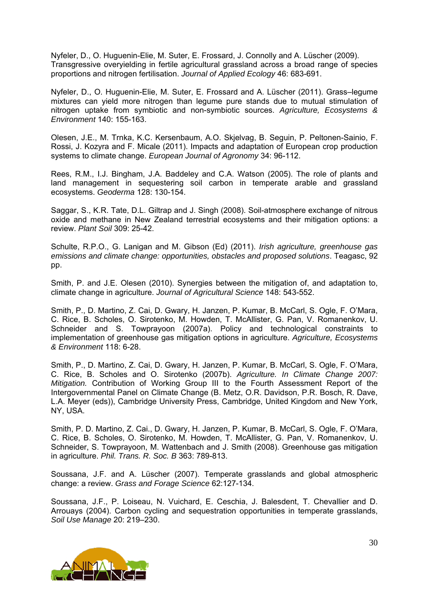Nyfeler, D., O. Huguenin-Elie, M. Suter, E. Frossard, J. Connolly and A. Lüscher (2009). Transgressive overyielding in fertile agricultural grassland across a broad range of species proportions and nitrogen fertilisation. *Journal of Applied Ecology* 46: 683-691.

Nyfeler, D., O. Huguenin-Elie, M. Suter, E. Frossard and A. Lüscher (2011). Grass–legume mixtures can yield more nitrogen than legume pure stands due to mutual stimulation of nitrogen uptake from symbiotic and non-symbiotic sources. *Agriculture, Ecosystems & Environment* 140: 155-163.

Olesen, J.E., M. Trnka, K.C. Kersenbaum, A.O. Skjelvag, B. Seguin, P. Peltonen-Sainio, F. Rossi, J. Kozyra and F. Micale (2011). Impacts and adaptation of European crop production systems to climate change. *European Journal of Agronomy* 34: 96-112.

Rees, R.M., I.J. Bingham, J.A. Baddeley and C.A. Watson (2005). The role of plants and land management in sequestering soil carbon in temperate arable and grassland ecosystems. *Geoderma* 128: 130-154.

Saggar, S., K.R. Tate, D.L. Giltrap and J. Singh (2008). Soil-atmosphere exchange of nitrous oxide and methane in New Zealand terrestrial ecosystems and their mitigation options: a review. *Plant Soil* 309: 25-42.

Schulte, R.P.O., G. Lanigan and M. Gibson (Ed) (2011). *Irish agriculture, greenhouse gas emissions and climate change: opportunities, obstacles and proposed solutions*. Teagasc, 92 pp.

Smith, P. and J.E. Olesen (2010). Synergies between the mitigation of, and adaptation to, climate change in agriculture. *Journal of Agricultural Science* 148: 543-552.

Smith, P., D. Martino, Z. Cai, D. Gwary, H. Janzen, P. Kumar, B. McCarl, S. Ogle, F. O'Mara, C. Rice, B. Scholes, O. Sirotenko, M. Howden, T. McAllister, G. Pan, V. Romanenkov, U. Schneider and S. Towprayoon (2007a). Policy and technological constraints to implementation of greenhouse gas mitigation options in agriculture. *Agriculture, Ecosystems & Environment* 118: 6-28.

Smith, P., D. Martino, Z. Cai, D. Gwary, H. Janzen, P. Kumar, B. McCarl, S. Ogle, F. O'Mara, C. Rice, B. Scholes and O. Sirotenko (2007b). *Agriculture. In Climate Change 2007: Mitigation.* Contribution of Working Group III to the Fourth Assessment Report of the Intergovernmental Panel on Climate Change (B. Metz, O.R. Davidson, P.R. Bosch, R. Dave, L.A. Meyer (eds)), Cambridge University Press, Cambridge, United Kingdom and New York, NY, USA.

Smith, P. D. Martino, Z. Cai., D. Gwary, H. Janzen, P. Kumar, B. McCarl, S. Ogle, F. O'Mara, C. Rice, B. Scholes, O. Sirotenko, M. Howden, T. McAllister, G. Pan, V. Romanenkov, U. Schneider, S. Towprayoon, M. Wattenbach and J. Smith (2008). Greenhouse gas mitigation in agriculture. *Phil. Trans. R. Soc. B* 363: 789-813.

Soussana, J.F. and A. Lüscher (2007). Temperate grasslands and global atmospheric change: a review. *Grass and Forage Science* 62:127-134.

Soussana, J.F., P. Loiseau, N. Vuichard, E. Ceschia, J. Balesdent, T. Chevallier and D. Arrouays (2004). Carbon cycling and sequestration opportunities in temperate grasslands, *Soil Use Manage* 20: 219–230.

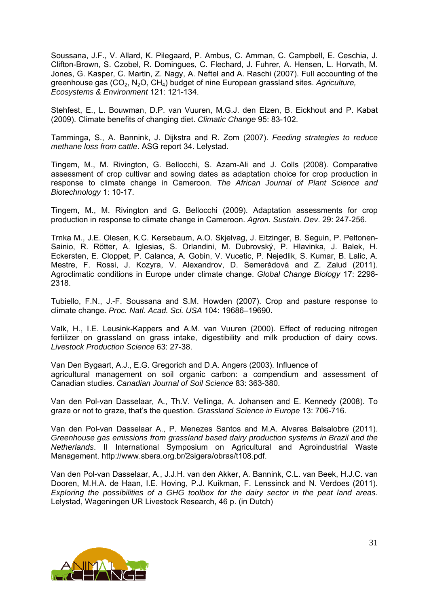Soussana, J.F., V. Allard, K. Pilegaard, P. Ambus, C. Amman, C. Campbell, E. Ceschia, J. Clifton-Brown, S. Czobel, R. Domingues, C. Flechard, J. Fuhrer, A. Hensen, L. Horvath, M. Jones, G. Kasper, C. Martin, Z. Nagy, A. Neftel and A. Raschi (2007). Full accounting of the greenhouse gas (CO2, N2O, CH4) budget of nine European grassland sites. *Agriculture, Ecosystems & Environment* 121: 121-134.

Stehfest, E., L. Bouwman, D.P. van Vuuren, M.G.J. den Elzen, B. Eickhout and P. Kabat (2009). Climate benefits of changing diet. *Climatic Change* 95: 83-102.

Tamminga, S., A. Bannink, J. Dijkstra and R. Zom (2007). *Feeding strategies to reduce methane loss from cattle*. ASG report 34. Lelystad.

Tingem, M., M. Rivington, G. Bellocchi, S. Azam-Ali and J. Colls (2008). Comparative assessment of crop cultivar and sowing dates as adaptation choice for crop production in response to climate change in Cameroon. *The African Journal of Plant Science and Biotechnology* 1: 10-17.

Tingem, M., M. Rivington and G. Bellocchi (2009). Adaptation assessments for crop production in response to climate change in Cameroon. *Agron. Sustain. Dev*. 29: 247-256.

Trnka M., J.E. Olesen, K.C. Kersebaum, A.O. Skjelvag, J. Eitzinger, B. Seguin, P. Peltonen-Sainio, R. Rötter, A. Iglesias, S. Orlandini, M. Dubrovský, P. Hlavinka, J. Balek, H. Eckersten, E. Cloppet, P. Calanca, A. Gobin, V. Vucetic, P. Nejedlik, S. Kumar, B. Lalic, A. Mestre, F. Rossi, J. Kozyra, V. Alexandrov, D. Semerádová and Z. Zalud (2011). Agroclimatic conditions in Europe under climate change. *Global Change Biology* 17: 2298- 2318.

Tubiello, F.N., J.-F. Soussana and S.M. Howden (2007). Crop and pasture response to climate change. *Proc. Natl. Acad. Sci. USA* 104: 19686–19690.

Valk, H., I.E. Leusink-Kappers and A.M. van Vuuren (2000). Effect of reducing nitrogen fertilizer on grassland on grass intake, digestibility and milk production of dairy cows. *Livestock Production Science* 63: 27-38.

Van Den Bygaart, A.J., E.G. Gregorich and D.A. Angers (2003). Influence of agricultural management on soil organic carbon: a compendium and assessment of Canadian studies. *Canadian Journal of Soil Science* 83: 363-380.

Van den Pol-van Dasselaar, A., Th.V. Vellinga, A. Johansen and E. Kennedy (2008). To graze or not to graze, that's the question. *Grassland Science in Europe* 13: 706-716.

Van den Pol-van Dasselaar A., P. Menezes Santos and M.A. Alvares Balsalobre (2011). *Greenhouse gas emissions from grassland based dairy production systems in Brazil and the Netherlands*. II International Symposium on Agricultural and Agroindustrial Waste Management. http://www.sbera.org.br/2sigera/obras/t108.pdf.

Van den Pol-van Dasselaar, A., J.J.H. van den Akker, A. Bannink, C.L. van Beek, H.J.C. van Dooren, M.H.A. de Haan, I.E. Hoving, P.J. Kuikman, F. Lenssinck and N. Verdoes (2011). *Exploring the possibilities of a GHG toolbox for the dairy sector in the peat land areas.* Lelystad, Wageningen UR Livestock Research, 46 p. (in Dutch)